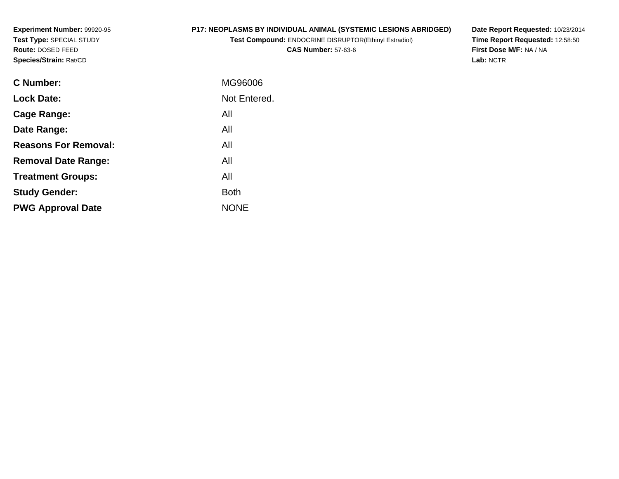**Experiment Number:** 99920-95**Test Type:** SPECIAL STUDY**Route:** DOSED FEED**Species/Strain:** Rat/CD

### **P17: NEOPLASMS BY INDIVIDUAL ANIMAL (SYSTEMIC LESIONS ABRIDGED)**

**Test Compound:** ENDOCRINE DISRUPTOR(Ethinyl Estradiol)**CAS Number:** 57-63-6

**Date Report Requested:** 10/23/2014 **Time Report Requested:** 12:58:50**First Dose M/F:** NA / NA**Lab:** NCTR

| <b>C</b> Number:            | MG96006      |
|-----------------------------|--------------|
| <b>Lock Date:</b>           | Not Entered. |
| Cage Range:                 | All          |
| Date Range:                 | All          |
| <b>Reasons For Removal:</b> | All          |
| <b>Removal Date Range:</b>  | All          |
| <b>Treatment Groups:</b>    | All          |
| <b>Study Gender:</b>        | <b>Both</b>  |
| <b>PWG Approval Date</b>    | <b>NONE</b>  |
|                             |              |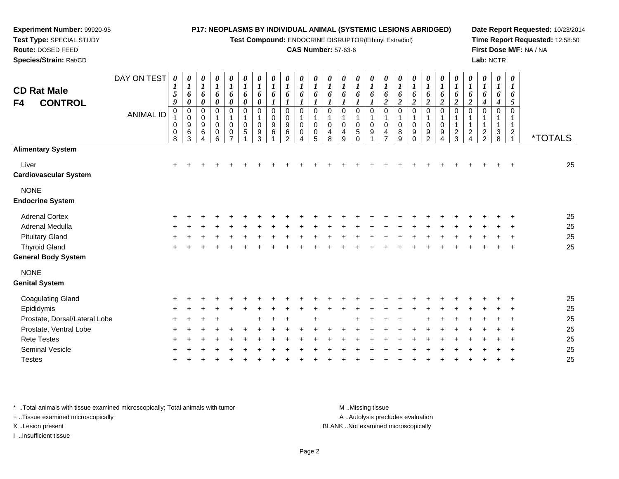#### **Experiment Number:** 99920-95**Test Type:** SPECIAL STUDY**Route:** DOSED FEED **Species/Strain:** Rat/CD**P17: NEOPLASMS BY INDIVIDUAL ANIMAL (SYSTEMIC LESIONS ABRIDGED)Test Compound:** ENDOCRINE DISRUPTOR(Ethinyl Estradiol)**CAS Number:** 57-63-6**Date Report Requested:** 10/23/2014**Time Report Requested:** 12:58:50**First Dose M/F:** NA / NA**Lab:** NCTRDAY ON TEST**CD Rat Male F4 CONTROL**ANIMAL ID*0 1 5 9* 0 1 0 0 8*0 1 6 0* 0 0 9 6 3*0 1 6 0* 0 0 9 6 4*0 1 6 0* 0 1 0 0 6*0 1 6 0* 0 1 0 0 7*0 1 6 0* 0 1 0 5 1*0 1 6 0* 0 1 0 9 3*0 1 6 1* 0 0 9 6 1*0 1 6 1* 00<br>9<br>6<br>2 *0 1 6 1* 0 1 0 0 4*0 1 6 1* 0 1 0 0 5*0 1 6 1* 0 1 0 4 8*0 1 6 1* 0 1 0 4 9*0 1 6 1* 0 1 0 5 0*0 1 6 1* 0 1 0 9 1*0 1 6 2* 0 1 0 4 7*0 1 6 2* 0 1 0 8 9*0 1 6 2* 0 1 0 9 0*0 1 6 2* 0 1 0 9 2*0 1 6 2* 0 1 0 9 4*0 1 6 2* 0 1 1 2 3*0 1 6 2* 0 1 1 2 4*0 1 6 4* 0 1 1 2 2*0 1 6 4* 0 1 1 3 8*0 1 6 5* 0 1 12<br>ڊ <sup>1</sup> \*TOTALS**Alimentary System**Liver $\mathbf{r}$  + <sup>+</sup> <sup>+</sup> <sup>+</sup> <sup>+</sup> <sup>+</sup> <sup>+</sup> <sup>+</sup> <sup>+</sup> <sup>+</sup> <sup>+</sup> <sup>+</sup> <sup>+</sup> <sup>+</sup> <sup>+</sup> <sup>+</sup> <sup>+</sup> <sup>+</sup> <sup>+</sup> <sup>+</sup> <sup>+</sup> <sup>+</sup> <sup>+</sup> <sup>+</sup> <sup>+</sup> <sup>25</sup> **Cardiovascular System**NONE **Endocrine System**Adrenal Cortex $\times$  + <sup>+</sup> <sup>+</sup> <sup>+</sup> <sup>+</sup> <sup>+</sup> <sup>+</sup> <sup>+</sup> <sup>+</sup> <sup>+</sup> <sup>+</sup> <sup>+</sup> <sup>+</sup> <sup>+</sup> <sup>+</sup> <sup>+</sup> <sup>+</sup> <sup>+</sup> <sup>+</sup> <sup>+</sup> <sup>+</sup> <sup>+</sup> <sup>+</sup> <sup>+</sup> <sup>+</sup> <sup>25</sup> Adrenal Medullaa  $+$  <sup>+</sup> <sup>+</sup> <sup>+</sup> <sup>+</sup> <sup>+</sup> <sup>+</sup> <sup>+</sup> <sup>+</sup> <sup>+</sup> <sup>+</sup> <sup>+</sup> <sup>+</sup> <sup>+</sup> <sup>+</sup> <sup>+</sup> <sup>+</sup> <sup>+</sup> <sup>+</sup> <sup>+</sup> <sup>+</sup> <sup>+</sup> <sup>+</sup> <sup>+</sup> <sup>+</sup> <sup>25</sup> Pituitary Gland $\alpha$  + <sup>+</sup> <sup>+</sup> <sup>+</sup> <sup>+</sup> <sup>+</sup> <sup>+</sup> <sup>+</sup> <sup>+</sup> <sup>+</sup> <sup>+</sup> <sup>+</sup> <sup>+</sup> <sup>+</sup> <sup>+</sup> <sup>+</sup> <sup>+</sup> <sup>+</sup> <sup>+</sup> <sup>+</sup> <sup>+</sup> <sup>+</sup> <sup>+</sup> <sup>+</sup> <sup>+</sup> <sup>25</sup> Thyroid Glandd  $+$ <sup>+</sup> <sup>+</sup> <sup>+</sup> <sup>+</sup> <sup>+</sup> <sup>+</sup> <sup>+</sup> <sup>+</sup> <sup>+</sup> <sup>+</sup> <sup>+</sup> <sup>+</sup> <sup>+</sup> <sup>+</sup> <sup>+</sup> <sup>+</sup> <sup>+</sup> <sup>+</sup> <sup>+</sup> <sup>+</sup> <sup>+</sup> <sup>+</sup> <sup>+</sup> <sup>+</sup> <sup>25</sup>

**General Body System**

NONE

#### **Genital System**

| . <del>.</del>                |  |             |         |  |             |  |     |  |         |  |                                   |               |  |  |             |    |
|-------------------------------|--|-------------|---------|--|-------------|--|-----|--|---------|--|-----------------------------------|---------------|--|--|-------------|----|
| Coagulating Gland             |  |             |         |  |             |  |     |  |         |  |                                   |               |  |  |             | 25 |
| Epididymis                    |  | + + + +     |         |  |             |  |     |  |         |  |                                   |               |  |  |             | 25 |
| Prostate, Dorsal/Lateral Lobe |  | $+ + + +$   |         |  | $+$ $+$ $+$ |  | $+$ |  | + + + + |  |                                   | + + + + + + + |  |  |             | 25 |
| Prostate, Ventral Lobe        |  | + + + +     | $+$ $-$ |  |             |  |     |  |         |  |                                   |               |  |  |             | 25 |
| <b>Rete Testes</b>            |  | + + + +     |         |  |             |  |     |  |         |  | + + + + + + + + + + + + + + + + + |               |  |  |             | 25 |
| <b>Seminal Vesicle</b>        |  | $+$ $+$ $+$ |         |  |             |  |     |  |         |  | + + + + + + + +                   |               |  |  | $+$ $+$ $+$ | 25 |
| Testes                        |  |             |         |  |             |  |     |  |         |  |                                   |               |  |  |             | 25 |
|                               |  |             |         |  |             |  |     |  |         |  |                                   |               |  |  |             |    |

\* ..Total animals with tissue examined microscopically; Total animals with tumor **M** ..Missing tissue M ..Missing tissue

+ ..Tissue examined microscopically

I ..Insufficient tissue

A ..Autolysis precludes evaluation

X ..Lesion present BLANK ..Not examined microscopically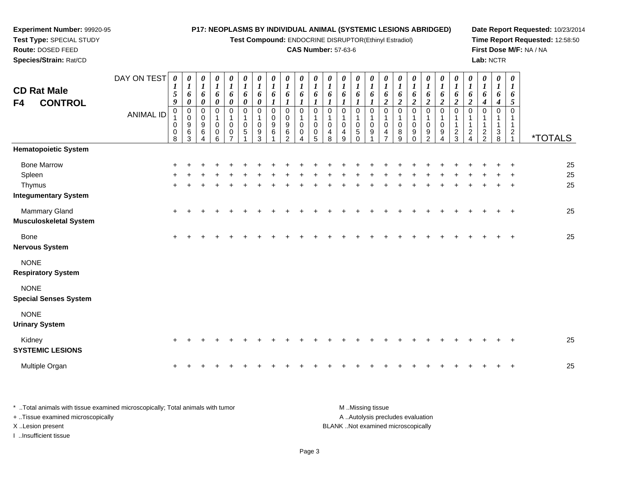| Experiment Number: 99920-95<br>Test Type: SPECIAL STUDY |                  |                                  |                                                            |                                                          |                                                     |                                                                         |                                             |                                                     | P17: NEOPLASMS BY INDIVIDUAL ANIMAL (SYSTEMIC LESIONS ABRIDGED)<br>Test Compound: ENDOCRINE DISRUPTOR(Ethinyl Estradiol) |                                                     |                                                |                                                     |                                                      |                                                                              |                                                                      |                                                 |                                                                  |                                                                  |                                                |                                                                  |                                              |                                                           |                                                          |                                                |                                                     |                                                                                 | Date Report Requested: 10/23/2014<br>Time Report Requested: 12:58:50 |
|---------------------------------------------------------|------------------|----------------------------------|------------------------------------------------------------|----------------------------------------------------------|-----------------------------------------------------|-------------------------------------------------------------------------|---------------------------------------------|-----------------------------------------------------|--------------------------------------------------------------------------------------------------------------------------|-----------------------------------------------------|------------------------------------------------|-----------------------------------------------------|------------------------------------------------------|------------------------------------------------------------------------------|----------------------------------------------------------------------|-------------------------------------------------|------------------------------------------------------------------|------------------------------------------------------------------|------------------------------------------------|------------------------------------------------------------------|----------------------------------------------|-----------------------------------------------------------|----------------------------------------------------------|------------------------------------------------|-----------------------------------------------------|---------------------------------------------------------------------------------|----------------------------------------------------------------------|
| Route: DOSED FEED                                       |                  |                                  |                                                            |                                                          |                                                     |                                                                         |                                             |                                                     |                                                                                                                          |                                                     | <b>CAS Number: 57-63-6</b>                     |                                                     |                                                      |                                                                              |                                                                      |                                                 |                                                                  |                                                                  |                                                |                                                                  |                                              |                                                           |                                                          |                                                |                                                     |                                                                                 | First Dose M/F: NA / NA                                              |
| Species/Strain: Rat/CD                                  |                  |                                  |                                                            |                                                          |                                                     |                                                                         |                                             |                                                     |                                                                                                                          |                                                     |                                                |                                                     |                                                      |                                                                              |                                                                      |                                                 |                                                                  |                                                                  |                                                |                                                                  |                                              |                                                           |                                                          | Lab: NCTR                                      |                                                     |                                                                                 |                                                                      |
| <b>CD Rat Male</b><br><b>CONTROL</b><br>F4              | DAY ON TEST      | 0<br>1<br>5<br>9                 | 0<br>$\boldsymbol{I}$<br>6<br>$\boldsymbol{\theta}$        | 0<br>$\boldsymbol{l}$<br>6<br>$\boldsymbol{\theta}$      | $\boldsymbol{\theta}$<br>$\boldsymbol{l}$<br>6<br>0 | $\boldsymbol{\theta}$<br>$\boldsymbol{l}$<br>6<br>$\boldsymbol{\theta}$ | 0<br>$\boldsymbol{l}$<br>6<br>0             | $\boldsymbol{\theta}$<br>$\boldsymbol{l}$<br>6<br>0 | 0<br>$\boldsymbol{l}$<br>6<br>1                                                                                          | 0<br>$\boldsymbol{l}$<br>6<br>$\boldsymbol{l}$      | 0<br>$\boldsymbol{l}$<br>6<br>$\boldsymbol{l}$ | 0<br>$\boldsymbol{l}$<br>6<br>$\boldsymbol{l}$      | U<br>$\boldsymbol{l}$<br>6<br>$\boldsymbol{l}$       | $\boldsymbol{\theta}$<br>$\boldsymbol{l}$<br>6<br>$\boldsymbol{\mathcal{I}}$ | 0<br>$\boldsymbol{l}$<br>6<br>$\boldsymbol{l}$                       | 0<br>$\boldsymbol{l}$<br>6<br>$\boldsymbol{l}$  | $\boldsymbol{\theta}$<br>$\boldsymbol{l}$<br>6<br>$\overline{2}$ | $\boldsymbol{\theta}$<br>$\boldsymbol{l}$<br>6<br>$\overline{2}$ | 0<br>$\boldsymbol{l}$<br>6<br>$\overline{2}$   | $\boldsymbol{\theta}$<br>$\boldsymbol{l}$<br>6<br>$\overline{2}$ | 0<br>$\boldsymbol{l}$<br>6<br>$\overline{c}$ | 0<br>$\boldsymbol{l}$<br>6<br>$\overline{\mathbf{c}}$     | 0<br>$\boldsymbol{l}$<br>6<br>$\boldsymbol{2}$           | 0<br>$\boldsymbol{l}$<br>6<br>$\boldsymbol{4}$ | $\boldsymbol{\theta}$<br>$\boldsymbol{l}$<br>6<br>4 | 0<br>1<br>6<br>5                                                                |                                                                      |
|                                                         | <b>ANIMAL ID</b> | $\pmb{0}$<br>$\pmb{0}$<br>0<br>8 | $\pmb{0}$<br>$\pmb{0}$<br>$\boldsymbol{9}$<br>$\,6\,$<br>3 | $\mathbf 0$<br>$\mathbf 0$<br>$\boldsymbol{9}$<br>6<br>4 | $\mathbf 0$<br>1<br>$\mathbf 0$<br>0<br>6           | $\Omega$<br>$\mathbf 1$<br>$\Omega$<br>0<br>$\overline{ }$              | $\mathbf 0$<br>$\mathbf 1$<br>$\Omega$<br>5 | $\Omega$<br>$\mathbf 0$<br>9<br>3                   | $\Omega$<br>$\Omega$<br>$\boldsymbol{9}$<br>6                                                                            | $\Omega$<br>$\mathbf 0$<br>9<br>6<br>$\mathfrak{p}$ | $\mathbf 0$<br>$\mathbf 0$<br>0<br>Δ           | $\mathbf 0$<br>$\mathbf 1$<br>$\mathbf 0$<br>0<br>5 | $\mathbf 0$<br>$\mathbf{1}$<br>$\mathbf 0$<br>4<br>8 | $\mathbf 0$<br>$\pmb{0}$<br>4<br>9                                           | $\mathbf 0$<br>$\mathbf{1}$<br>$\mathbf 0$<br>$\sqrt{5}$<br>$\Omega$ | $\mathbf 0$<br>$\mathbf{1}$<br>$\mathbf 0$<br>9 | $\mathbf 0$<br>1<br>$\Omega$<br>4                                | $\Omega$<br>$\mathbf 0$<br>8<br>9                                | $\Omega$<br>$\mathbf{1}$<br>0<br>9<br>$\Omega$ | $\Omega$<br>$\mathbf 0$<br>9<br>$\mathcal{D}$                    | $\Omega$<br>$\mathbf 0$<br>9<br>4            | $\Omega$<br>$\mathbf{1}$<br>$\mathbf{1}$<br>$\frac{2}{3}$ | $\mathbf 0$<br>$\overline{c}$<br>$\overline{\mathbf{4}}$ | $\Omega$<br>$\frac{2}{2}$                      | $\mathbf 0$<br>1<br>1<br>$\frac{3}{8}$              | $\mathbf 0$<br>$\mathbf{1}$<br>$\mathbf{1}$<br>$\overline{c}$<br>$\overline{1}$ | <i><b>*TOTALS</b></i>                                                |
| <b>Hematopoietic System</b>                             |                  |                                  |                                                            |                                                          |                                                     |                                                                         |                                             |                                                     |                                                                                                                          |                                                     |                                                |                                                     |                                                      |                                                                              |                                                                      |                                                 |                                                                  |                                                                  |                                                |                                                                  |                                              |                                                           |                                                          |                                                |                                                     |                                                                                 |                                                                      |
| <b>Bone Marrow</b>                                      |                  |                                  |                                                            |                                                          |                                                     |                                                                         |                                             |                                                     |                                                                                                                          |                                                     |                                                |                                                     |                                                      |                                                                              |                                                                      |                                                 |                                                                  |                                                                  |                                                |                                                                  |                                              |                                                           |                                                          |                                                |                                                     |                                                                                 | 25                                                                   |
| Spleen<br>Thymus                                        |                  |                                  |                                                            |                                                          |                                                     |                                                                         |                                             |                                                     |                                                                                                                          |                                                     |                                                |                                                     |                                                      |                                                                              |                                                                      |                                                 |                                                                  |                                                                  |                                                |                                                                  |                                              |                                                           |                                                          |                                                |                                                     |                                                                                 | 25<br>25                                                             |
| <b>Integumentary System</b>                             |                  |                                  |                                                            |                                                          |                                                     |                                                                         |                                             |                                                     |                                                                                                                          |                                                     |                                                |                                                     |                                                      |                                                                              |                                                                      |                                                 |                                                                  |                                                                  |                                                |                                                                  |                                              |                                                           |                                                          |                                                |                                                     |                                                                                 |                                                                      |
| Mammary Gland<br><b>Musculoskeletal System</b>          |                  |                                  |                                                            |                                                          |                                                     |                                                                         |                                             |                                                     |                                                                                                                          |                                                     |                                                |                                                     |                                                      |                                                                              |                                                                      |                                                 |                                                                  |                                                                  |                                                |                                                                  |                                              |                                                           |                                                          |                                                |                                                     |                                                                                 | 25                                                                   |
| <b>Bone</b><br><b>Nervous System</b>                    |                  |                                  |                                                            |                                                          |                                                     |                                                                         |                                             |                                                     |                                                                                                                          |                                                     |                                                |                                                     |                                                      |                                                                              |                                                                      |                                                 |                                                                  |                                                                  |                                                |                                                                  |                                              |                                                           |                                                          |                                                |                                                     |                                                                                 | 25                                                                   |
| <b>NONE</b><br><b>Respiratory System</b>                |                  |                                  |                                                            |                                                          |                                                     |                                                                         |                                             |                                                     |                                                                                                                          |                                                     |                                                |                                                     |                                                      |                                                                              |                                                                      |                                                 |                                                                  |                                                                  |                                                |                                                                  |                                              |                                                           |                                                          |                                                |                                                     |                                                                                 |                                                                      |
| <b>NONE</b><br><b>Special Senses System</b>             |                  |                                  |                                                            |                                                          |                                                     |                                                                         |                                             |                                                     |                                                                                                                          |                                                     |                                                |                                                     |                                                      |                                                                              |                                                                      |                                                 |                                                                  |                                                                  |                                                |                                                                  |                                              |                                                           |                                                          |                                                |                                                     |                                                                                 |                                                                      |
| <b>NONE</b><br><b>Urinary System</b>                    |                  |                                  |                                                            |                                                          |                                                     |                                                                         |                                             |                                                     |                                                                                                                          |                                                     |                                                |                                                     |                                                      |                                                                              |                                                                      |                                                 |                                                                  |                                                                  |                                                |                                                                  |                                              |                                                           |                                                          |                                                |                                                     |                                                                                 |                                                                      |
| Kidney<br><b>SYSTEMIC LESIONS</b>                       |                  |                                  |                                                            |                                                          |                                                     |                                                                         |                                             |                                                     |                                                                                                                          |                                                     |                                                |                                                     |                                                      |                                                                              |                                                                      |                                                 |                                                                  |                                                                  |                                                |                                                                  |                                              |                                                           |                                                          |                                                |                                                     |                                                                                 | 25                                                                   |
| Multiple Organ                                          |                  |                                  |                                                            |                                                          |                                                     |                                                                         |                                             |                                                     |                                                                                                                          |                                                     |                                                |                                                     |                                                      |                                                                              |                                                                      |                                                 |                                                                  |                                                                  |                                                |                                                                  |                                              |                                                           |                                                          |                                                |                                                     |                                                                                 | 25                                                                   |

| Total animals with tissue examined microscopically; Total animals with tumor | M Missing tissue                   |
|------------------------------------------------------------------------------|------------------------------------|
| + Tissue examined microscopically                                            | A Autolysis precludes evaluation   |
| X Lesion present                                                             | BLANK Not examined microscopically |
| Insufficient tissue                                                          |                                    |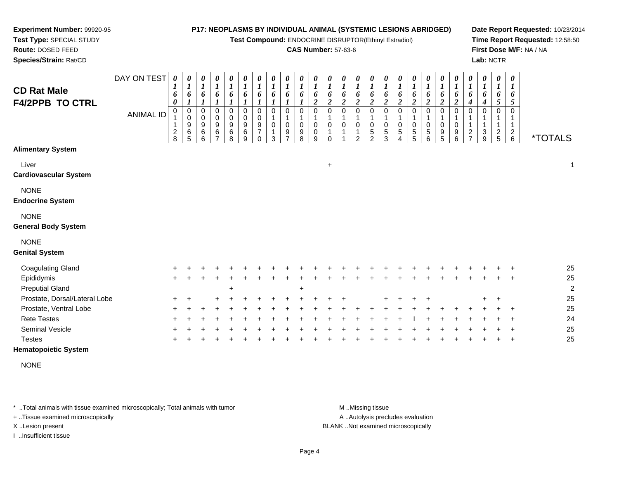#### **Experiment Number:** 99920-95**Test Type:** SPECIAL STUDY**Route:** DOSED FEED**P17: NEOPLASMS BY INDIVIDUAL ANIMAL (SYSTEMIC LESIONS ABRIDGED)Test Compound:** ENDOCRINE DISRUPTOR(Ethinyl Estradiol)**CAS Number:** 57-63-6**Date Report Requested:** 10/23/2014**Time Report Requested:** 12:58:50**First Dose M/F:** NA / NA**Lab:** NCTR

| <b>CD Rat Male</b><br><b>F4/2PPB TO CTRL</b> | DAY ON TEST<br><b>ANIMAL ID</b> | 1<br>6<br>0<br>$\Omega$<br>$\overline{\mathbf{c}}$<br>8 | $\boldsymbol{\theta}$<br>$\boldsymbol{l}$<br>6<br>$\pmb{0}$<br>$\,0\,$<br>$\begin{array}{c} 9 \\ 6 \end{array}$<br>5 | 0<br>$\boldsymbol{l}$<br>6<br>1<br>0<br>0<br>$\boldsymbol{9}$<br>6<br>6 | 0<br>$\boldsymbol{l}$<br>6<br>$\boldsymbol{l}$<br>0<br>0<br>$\boldsymbol{9}$<br>6<br>$\overline{ }$ | 0<br>$\boldsymbol{l}$<br>6<br>$\boldsymbol{l}$<br>$\mathbf 0$<br>0<br>$\boldsymbol{9}$<br>6<br>8 | 0<br>$\boldsymbol{l}$<br>6<br>$\boldsymbol{l}$<br>0<br>0<br>$\boldsymbol{9}$<br>6<br>9 | 0<br>$\boldsymbol{l}$<br>6<br>1<br>$\mathbf 0$<br>0<br>9<br>$\overline{7}$<br>$\Omega$ | 0<br>$\boldsymbol{l}$<br>6<br>$\boldsymbol{l}$<br>$\Omega$<br>0<br>3 | 0<br>$\boldsymbol{l}$<br>6<br>$\Omega$<br>9<br>7 | 0<br>$\boldsymbol{l}$<br>6<br>$\Omega$<br>$\pmb{0}$<br>9<br>8 | 0<br>$\boldsymbol{l}$<br>6<br>$\overline{\mathbf{c}}$<br>$\Omega$<br>0<br>0<br>9 | 0<br>$\boldsymbol{l}$<br>6<br>$\overline{\mathbf{c}}$<br>0<br>0<br>$\Omega$ | 0<br>$\boldsymbol{l}$<br>6<br>$\boldsymbol{2}$<br>$\Omega$<br>1<br>$\mathbf 0$<br>1 | 0<br>$\boldsymbol{l}$<br>6<br>$\boldsymbol{2}$<br>$\mathbf 0$<br>0<br>$\overline{2}$ | 0<br>$\boldsymbol{l}$<br>6<br>$\overline{2}$<br>$\Omega$<br>1<br>0<br>$\sqrt{5}$<br>$\overline{2}$ | 0<br>$\boldsymbol{l}$<br>6<br>$\boldsymbol{2}$<br>$\Omega$<br>0<br>$\,$ 5 $\,$<br>3 | 0<br>$\boldsymbol{l}$<br>6<br>$\boldsymbol{2}$<br>$\Omega$<br>0<br>5 | 0<br>$\boldsymbol{l}$<br>6<br>$\boldsymbol{2}$<br>$\mathbf 0$<br>$\pmb{0}$<br>$\,$ 5 $\,$<br>5 | 0<br>$\boldsymbol{l}$<br>6<br>$\overline{\mathbf{c}}$<br>$\mathbf 0$<br>$\mathbf{1}$<br>0<br>$\,$ 5 $\,$<br>6 | 0<br>$\boldsymbol{l}$<br>6<br>$\boldsymbol{2}$<br>0<br>0<br>$\begin{array}{c} 9 \\ 5 \end{array}$ | 0<br>$\boldsymbol{l}$<br>6<br>$\boldsymbol{2}$<br>$\Omega$<br>1<br>$\mathbf 0$<br>9<br>6 | 0<br>$\boldsymbol{l}$<br>6<br>4<br>$\Omega$<br>1<br>$\frac{2}{7}$ | 0<br>$\boldsymbol{l}$<br>6<br>$\boldsymbol{4}$<br>$\Omega$<br>1<br>1<br>3<br>9 | 0<br>$\boldsymbol{l}$<br>6<br>5<br>$\Omega$<br>$\frac{2}{5}$ | $\boldsymbol{\theta}$<br>$\boldsymbol{l}$<br>6<br>5<br>$\Omega$<br>$\mathbf{1}$<br>$\frac{2}{6}$ | <i><b>*TOTALS</b></i> |                      |
|----------------------------------------------|---------------------------------|---------------------------------------------------------|----------------------------------------------------------------------------------------------------------------------|-------------------------------------------------------------------------|-----------------------------------------------------------------------------------------------------|--------------------------------------------------------------------------------------------------|----------------------------------------------------------------------------------------|----------------------------------------------------------------------------------------|----------------------------------------------------------------------|--------------------------------------------------|---------------------------------------------------------------|----------------------------------------------------------------------------------|-----------------------------------------------------------------------------|-------------------------------------------------------------------------------------|--------------------------------------------------------------------------------------|----------------------------------------------------------------------------------------------------|-------------------------------------------------------------------------------------|----------------------------------------------------------------------|------------------------------------------------------------------------------------------------|---------------------------------------------------------------------------------------------------------------|---------------------------------------------------------------------------------------------------|------------------------------------------------------------------------------------------|-------------------------------------------------------------------|--------------------------------------------------------------------------------|--------------------------------------------------------------|--------------------------------------------------------------------------------------------------|-----------------------|----------------------|
| <b>Alimentary System</b>                     |                                 |                                                         |                                                                                                                      |                                                                         |                                                                                                     |                                                                                                  |                                                                                        |                                                                                        |                                                                      |                                                  |                                                               |                                                                                  |                                                                             |                                                                                     |                                                                                      |                                                                                                    |                                                                                     |                                                                      |                                                                                                |                                                                                                               |                                                                                                   |                                                                                          |                                                                   |                                                                                |                                                              |                                                                                                  |                       |                      |
| Liver<br><b>Cardiovascular System</b>        |                                 |                                                         |                                                                                                                      |                                                                         |                                                                                                     |                                                                                                  |                                                                                        |                                                                                        |                                                                      |                                                  |                                                               |                                                                                  | $\ddot{}$                                                                   |                                                                                     |                                                                                      |                                                                                                    |                                                                                     |                                                                      |                                                                                                |                                                                                                               |                                                                                                   |                                                                                          |                                                                   |                                                                                |                                                              |                                                                                                  |                       | $\mathbf{1}$         |
| <b>NONE</b><br><b>Endocrine System</b>       |                                 |                                                         |                                                                                                                      |                                                                         |                                                                                                     |                                                                                                  |                                                                                        |                                                                                        |                                                                      |                                                  |                                                               |                                                                                  |                                                                             |                                                                                     |                                                                                      |                                                                                                    |                                                                                     |                                                                      |                                                                                                |                                                                                                               |                                                                                                   |                                                                                          |                                                                   |                                                                                |                                                              |                                                                                                  |                       |                      |
| <b>NONE</b><br><b>General Body System</b>    |                                 |                                                         |                                                                                                                      |                                                                         |                                                                                                     |                                                                                                  |                                                                                        |                                                                                        |                                                                      |                                                  |                                                               |                                                                                  |                                                                             |                                                                                     |                                                                                      |                                                                                                    |                                                                                     |                                                                      |                                                                                                |                                                                                                               |                                                                                                   |                                                                                          |                                                                   |                                                                                |                                                              |                                                                                                  |                       |                      |
| <b>NONE</b><br><b>Genital System</b>         |                                 |                                                         |                                                                                                                      |                                                                         |                                                                                                     |                                                                                                  |                                                                                        |                                                                                        |                                                                      |                                                  |                                                               |                                                                                  |                                                                             |                                                                                     |                                                                                      |                                                                                                    |                                                                                     |                                                                      |                                                                                                |                                                                                                               |                                                                                                   |                                                                                          |                                                                   |                                                                                |                                                              |                                                                                                  |                       |                      |
| <b>Coagulating Gland</b>                     |                                 |                                                         |                                                                                                                      |                                                                         |                                                                                                     |                                                                                                  |                                                                                        |                                                                                        |                                                                      |                                                  |                                                               |                                                                                  |                                                                             |                                                                                     |                                                                                      |                                                                                                    |                                                                                     |                                                                      |                                                                                                |                                                                                                               |                                                                                                   |                                                                                          |                                                                   |                                                                                |                                                              |                                                                                                  |                       | 25                   |
| Epididymis<br><b>Preputial Gland</b>         |                                 | $+$                                                     |                                                                                                                      |                                                                         |                                                                                                     |                                                                                                  |                                                                                        |                                                                                        |                                                                      |                                                  | $\overline{1}$                                                |                                                                                  |                                                                             |                                                                                     |                                                                                      |                                                                                                    |                                                                                     |                                                                      |                                                                                                |                                                                                                               |                                                                                                   |                                                                                          |                                                                   |                                                                                |                                                              |                                                                                                  |                       | 25<br>$\overline{c}$ |
| Prostate, Dorsal/Lateral Lobe                |                                 |                                                         |                                                                                                                      |                                                                         |                                                                                                     |                                                                                                  |                                                                                        |                                                                                        |                                                                      |                                                  |                                                               |                                                                                  |                                                                             |                                                                                     |                                                                                      |                                                                                                    |                                                                                     |                                                                      |                                                                                                |                                                                                                               |                                                                                                   |                                                                                          |                                                                   |                                                                                | $\ddot{}$                                                    |                                                                                                  |                       | 25                   |
| Prostate, Ventral Lobe                       |                                 |                                                         |                                                                                                                      |                                                                         |                                                                                                     |                                                                                                  |                                                                                        |                                                                                        |                                                                      |                                                  |                                                               |                                                                                  |                                                                             |                                                                                     |                                                                                      |                                                                                                    |                                                                                     |                                                                      |                                                                                                |                                                                                                               |                                                                                                   |                                                                                          |                                                                   |                                                                                |                                                              |                                                                                                  |                       | 25                   |
| <b>Rete Testes</b>                           |                                 |                                                         |                                                                                                                      |                                                                         |                                                                                                     |                                                                                                  |                                                                                        |                                                                                        |                                                                      |                                                  |                                                               |                                                                                  |                                                                             |                                                                                     |                                                                                      |                                                                                                    |                                                                                     |                                                                      |                                                                                                |                                                                                                               |                                                                                                   |                                                                                          |                                                                   |                                                                                |                                                              |                                                                                                  |                       | 24                   |
| <b>Seminal Vesicle</b><br><b>Testes</b>      |                                 |                                                         |                                                                                                                      |                                                                         |                                                                                                     |                                                                                                  |                                                                                        |                                                                                        |                                                                      |                                                  |                                                               |                                                                                  |                                                                             |                                                                                     |                                                                                      |                                                                                                    |                                                                                     |                                                                      |                                                                                                |                                                                                                               |                                                                                                   |                                                                                          |                                                                   |                                                                                |                                                              |                                                                                                  |                       | 25<br>25             |
|                                              |                                 |                                                         |                                                                                                                      |                                                                         |                                                                                                     |                                                                                                  |                                                                                        |                                                                                        |                                                                      |                                                  |                                                               |                                                                                  |                                                                             |                                                                                     |                                                                                      |                                                                                                    |                                                                                     |                                                                      |                                                                                                |                                                                                                               |                                                                                                   |                                                                                          |                                                                   |                                                                                |                                                              |                                                                                                  |                       |                      |

#### **Hematopoietic System**

**Species/Strain:** Rat/CD

NONE

\* ..Total animals with tissue examined microscopically; Total animals with tumor **M** . Missing tissue M ..Missing tissue

+ ..Tissue examined microscopically

I ..Insufficient tissue

A ..Autolysis precludes evaluation

X ..Lesion present BLANK ..Not examined microscopically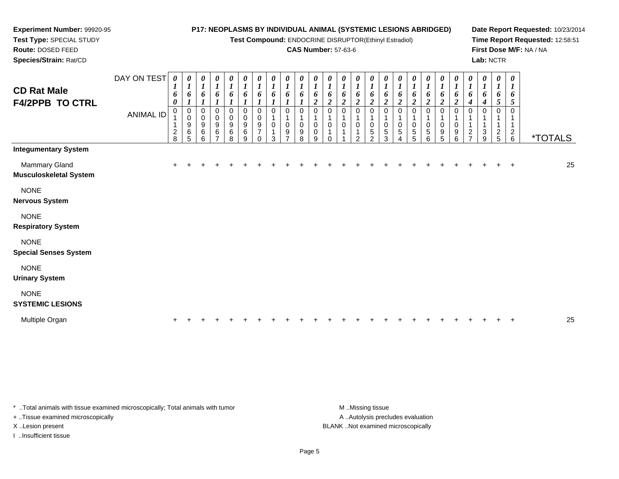DAY ON TEST*0000000000000000000000000*

**Test Compound:** ENDOCRINE DISRUPTOR(Ethinyl Estradiol)

#### **CAS Number:** 57-63-6

**Date Report Requested:** 10/23/2014**Time Report Requested:** 12:58:51**First Dose M/F:** NA / NA**Lab:** NCTR

| <b>CD Rat Male</b><br><b>F4/2PPB TO CTRL</b> | <b>ANIMAL ID</b> | 1<br>6<br>0<br>$\mathbf 0$<br>$\overline{\mathbf{c}}$<br>8 | 6<br>0<br>$\pmb{0}$<br>9<br>6<br>5 | 1<br>6<br>0<br>0<br>9<br>6<br>6 | $\boldsymbol{l}$<br>6<br>0<br>$\mathbf 0$<br>$\boldsymbol{9}$<br>6<br>$\overline{ }$ | $\bm{l}$<br>6<br>0<br>$\pmb{0}$<br>$\boldsymbol{9}$<br>6<br>8 | 6<br>$\pmb{0}$<br>0<br>$\boldsymbol{9}$<br>$\,6\,$<br>9 | 6<br>0<br>0<br>9<br>$\overline{7}$<br>0 | $\boldsymbol{l}$<br>6<br>$\mathbf 0$<br>0<br>3 | 1<br>6<br>0<br>0<br>9 | 6<br>0<br>9<br>8 | 6<br>$\boldsymbol{2}$<br>0<br>0<br>0<br>9 | $\boldsymbol{I}$<br>6<br>2<br>$\Omega$<br>$\mathbf 0$<br>1 | 1<br>6<br>$\boldsymbol{2}$<br>0<br>0 | 6<br>2<br>$\mathbf 0$<br>ົ | 6<br>2<br>0<br>0<br>5<br>$\mathfrak{p}$ | $\boldsymbol{l}$<br>6<br>$\overline{2}$<br>0<br>$\mathbf 0$<br>$\sqrt{5}$<br>3 | 1<br>6<br>$\overline{2}$<br>0<br>5 | $\boldsymbol{l}$<br>6<br>$\boldsymbol{2}$<br>0<br>$\sqrt{5}$<br>5 | $\boldsymbol{l}$<br>6<br>$\boldsymbol{2}$<br>0<br>$\pmb{0}$<br>$\,$ 5 $\,$<br>6 | $\boldsymbol{l}$<br>6<br>$\overline{2}$<br>0<br>0<br>9<br>5 | $\boldsymbol{l}$<br>6<br>$\boldsymbol{2}$<br>0<br>0<br>9<br>6 | $\boldsymbol{l}$<br>6<br>0<br>$\mathbf 1$<br>$\mathbf{1}$<br>$\boldsymbol{2}$<br>$\overline{ }$ | $\boldsymbol{l}$<br>6<br>$\boldsymbol{4}$<br>0<br>$\mathbf{1}$<br>3<br>9 | $\boldsymbol{l}$<br>6<br>5 <sup>5</sup><br>0<br>1<br>1<br>$rac{2}{5}$ | $\boldsymbol{l}$<br>6<br>5<br>0<br>$\frac{2}{6}$ | <i><b>*TOTALS</b></i> |    |
|----------------------------------------------|------------------|------------------------------------------------------------|------------------------------------|---------------------------------|--------------------------------------------------------------------------------------|---------------------------------------------------------------|---------------------------------------------------------|-----------------------------------------|------------------------------------------------|-----------------------|------------------|-------------------------------------------|------------------------------------------------------------|--------------------------------------|----------------------------|-----------------------------------------|--------------------------------------------------------------------------------|------------------------------------|-------------------------------------------------------------------|---------------------------------------------------------------------------------|-------------------------------------------------------------|---------------------------------------------------------------|-------------------------------------------------------------------------------------------------|--------------------------------------------------------------------------|-----------------------------------------------------------------------|--------------------------------------------------|-----------------------|----|
| <b>Integumentary System</b>                  |                  |                                                            |                                    |                                 |                                                                                      |                                                               |                                                         |                                         |                                                |                       |                  |                                           |                                                            |                                      |                            |                                         |                                                                                |                                    |                                                                   |                                                                                 |                                                             |                                                               |                                                                                                 |                                                                          |                                                                       |                                                  |                       |    |
| Mammary Gland<br>Musculoskeletal System      |                  | $+$                                                        |                                    |                                 |                                                                                      |                                                               |                                                         |                                         |                                                |                       |                  |                                           |                                                            |                                      |                            |                                         |                                                                                |                                    |                                                                   |                                                                                 |                                                             |                                                               |                                                                                                 |                                                                          |                                                                       | $\ddot{}$                                        |                       | 25 |
| <b>NONE</b><br>Nervous System                |                  |                                                            |                                    |                                 |                                                                                      |                                                               |                                                         |                                         |                                                |                       |                  |                                           |                                                            |                                      |                            |                                         |                                                                                |                                    |                                                                   |                                                                                 |                                                             |                                                               |                                                                                                 |                                                                          |                                                                       |                                                  |                       |    |
| <b>NONE</b><br><b>Respiratory System</b>     |                  |                                                            |                                    |                                 |                                                                                      |                                                               |                                                         |                                         |                                                |                       |                  |                                           |                                                            |                                      |                            |                                         |                                                                                |                                    |                                                                   |                                                                                 |                                                             |                                                               |                                                                                                 |                                                                          |                                                                       |                                                  |                       |    |
| <b>NONE</b><br><b>Special Senses System</b>  |                  |                                                            |                                    |                                 |                                                                                      |                                                               |                                                         |                                         |                                                |                       |                  |                                           |                                                            |                                      |                            |                                         |                                                                                |                                    |                                                                   |                                                                                 |                                                             |                                                               |                                                                                                 |                                                                          |                                                                       |                                                  |                       |    |
| <b>NONE</b><br><b>Urinary System</b>         |                  |                                                            |                                    |                                 |                                                                                      |                                                               |                                                         |                                         |                                                |                       |                  |                                           |                                                            |                                      |                            |                                         |                                                                                |                                    |                                                                   |                                                                                 |                                                             |                                                               |                                                                                                 |                                                                          |                                                                       |                                                  |                       |    |
| <b>NONE</b><br><b>SYSTEMIC LESIONS</b>       |                  |                                                            |                                    |                                 |                                                                                      |                                                               |                                                         |                                         |                                                |                       |                  |                                           |                                                            |                                      |                            |                                         |                                                                                |                                    |                                                                   |                                                                                 |                                                             |                                                               |                                                                                                 |                                                                          |                                                                       |                                                  |                       |    |
| Multiple Organ                               |                  | $\ddot{}$                                                  |                                    |                                 |                                                                                      |                                                               |                                                         |                                         |                                                |                       |                  |                                           |                                                            |                                      |                            |                                         |                                                                                |                                    |                                                                   |                                                                                 |                                                             |                                                               |                                                                                                 |                                                                          |                                                                       | $\div$                                           |                       | 25 |

\* ..Total animals with tissue examined microscopically; Total animals with tumor **M** ...Missing tissue M ...Missing tissue

+ ..Tissue examined microscopically

**Experiment Number:** 99920-95**Test Type:** SPECIAL STUDY**Route:** DOSED FEED**Species/Strain:** Rat/CD

I ..Insufficient tissue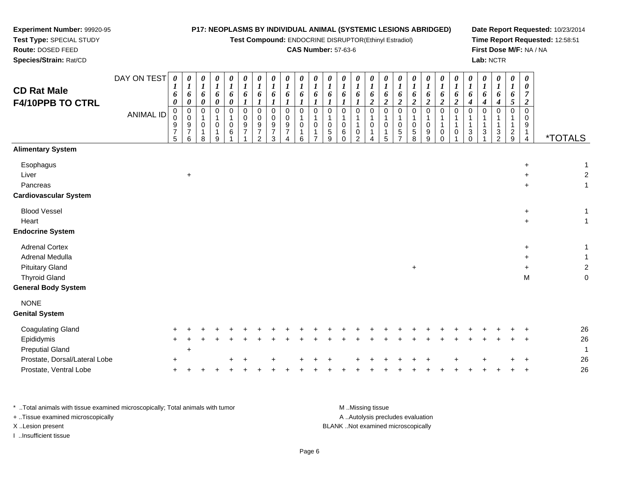#### **Experiment Number:** 99920-95**Test Type:** SPECIAL STUDY**Route:** DOSED FEED **Species/Strain:** Rat/CD**P17: NEOPLASMS BY INDIVIDUAL ANIMAL (SYSTEMIC LESIONS ABRIDGED)Test Compound:** ENDOCRINE DISRUPTOR(Ethinyl Estradiol)**CAS Number:** 57-63-6**Date Report Requested:** 10/23/2014**Time Report Requested:** 12:58:51**First Dose M/F:** NA / NA**Lab:** NCTRDAY ON TEST**CD Rat Male F4/10PPB TO CTRL**ANIMAL ID*0 1 6 0* 0 0 9 7 5*0 1 6 0* 0 0 9 7 6*0 1 6 0* 0 1 0 1*0 1 6 0* 0 1 0 1*0 1 6 0*0<br>106<br>1 *0 1 6 1* 0 0 9 7*0 1 6 1* 0 0 9 7*0 1 6 1*0<br>0<br>9<br>7 *0 1 6 1* 0 0 9 7*0 1 6 1* 0 1 0 1*0 1 6 1* 0 1 0 1*0 1 6 1* 0 1 0*0 1 6 1* 0 1 0 6 0*0 1 6 1* 0 1 1 0 2*0 1 6 2* 0 1 0 1*0 1 6 2* 0 1 0 1*0 1 6 2* 0 1 0*0 1 6 2* 0 1 0 5 8*0 1 6 2* 0 1 0 9 9*0 1 6 2* 0 1 1 0 0*0 1 6 2* 0 1 1 0*0 1 6 4* 0 1 1 3 0*0 1 6 4* 0 1 1 3 1*0 1 6 4* 0 1 1 3 2*0 1 6 5* 0 1 1 2 9*0 0 7 2* 0 0 91

#### **Alimentary System**

Prostate, Ventral Lobe

| <b>Allificital y Jystem</b>   |           |           |  |  |  |  |  |  |  |     |  |  |  |           |                |
|-------------------------------|-----------|-----------|--|--|--|--|--|--|--|-----|--|--|--|-----------|----------------|
| Esophagus                     |           |           |  |  |  |  |  |  |  |     |  |  |  | $+$       | $\mathbf{1}$   |
| Liver                         |           | $+$       |  |  |  |  |  |  |  |     |  |  |  | $\ddot{}$ | $\overline{2}$ |
| Pancreas                      |           |           |  |  |  |  |  |  |  |     |  |  |  | $+$       | 1              |
| <b>Cardiovascular System</b>  |           |           |  |  |  |  |  |  |  |     |  |  |  |           |                |
| <b>Blood Vessel</b>           |           |           |  |  |  |  |  |  |  |     |  |  |  | $\ddot{}$ | $\mathbf{1}$   |
| Heart                         |           |           |  |  |  |  |  |  |  |     |  |  |  | $+$       | $\mathbf{1}$   |
| <b>Endocrine System</b>       |           |           |  |  |  |  |  |  |  |     |  |  |  |           |                |
| <b>Adrenal Cortex</b>         |           |           |  |  |  |  |  |  |  |     |  |  |  | $+$       | $\mathbf{1}$   |
| Adrenal Medulla               |           |           |  |  |  |  |  |  |  |     |  |  |  | $+$       |                |
| <b>Pituitary Gland</b>        |           |           |  |  |  |  |  |  |  | $+$ |  |  |  | $\ddot{}$ | $\overline{2}$ |
| <b>Thyroid Gland</b>          |           |           |  |  |  |  |  |  |  |     |  |  |  | M         | $\mathbf 0$    |
| <b>General Body System</b>    |           |           |  |  |  |  |  |  |  |     |  |  |  |           |                |
| <b>NONE</b>                   |           |           |  |  |  |  |  |  |  |     |  |  |  |           |                |
| <b>Genital System</b>         |           |           |  |  |  |  |  |  |  |     |  |  |  |           |                |
| <b>Coagulating Gland</b>      |           |           |  |  |  |  |  |  |  |     |  |  |  |           | 26             |
| Epididymis                    | $\ddot{}$ |           |  |  |  |  |  |  |  |     |  |  |  | $\ddot{}$ | 26             |
| <b>Preputial Gland</b>        |           | $\ddot{}$ |  |  |  |  |  |  |  |     |  |  |  |           | 1              |
| Prostate, Dorsal/Lateral Lobe | $\ddot{}$ |           |  |  |  |  |  |  |  |     |  |  |  |           | 26             |

| * Total animals with tissue examined microscopically; Total animals with tumor | M Missing tissue                   |
|--------------------------------------------------------------------------------|------------------------------------|
| + Tissue examined microscopically                                              | A Autolysis precludes evaluation   |
| X Lesion present                                                               | BLANK Not examined microscopically |
| Insufficient tissue                                                            |                                    |

e +

e +

8

9

1

2

3

4

6

7

5 9

4

5

<sup>+</sup> <sup>+</sup> <sup>+</sup> <sup>+</sup> <sup>+</sup> <sup>+</sup> <sup>+</sup> <sup>+</sup> <sup>+</sup> <sup>+</sup> <sup>+</sup> <sup>+</sup> <sup>+</sup> <sup>+</sup> <sup>+</sup> <sup>+</sup> <sup>26</sup>

<sup>+</sup> <sup>+</sup> <sup>+</sup> <sup>+</sup> <sup>+</sup> <sup>+</sup> <sup>+</sup> <sup>+</sup> <sup>+</sup> <sup>+</sup> <sup>+</sup> <sup>+</sup> <sup>+</sup> <sup>+</sup> <sup>+</sup> <sup>+</sup> <sup>+</sup> <sup>+</sup> <sup>+</sup> <sup>+</sup> <sup>+</sup> <sup>+</sup> <sup>+</sup> <sup>+</sup> <sup>+</sup> <sup>26</sup>

5 7

1

 $\overline{4}$ 

<sup>4</sup> \*TOTALS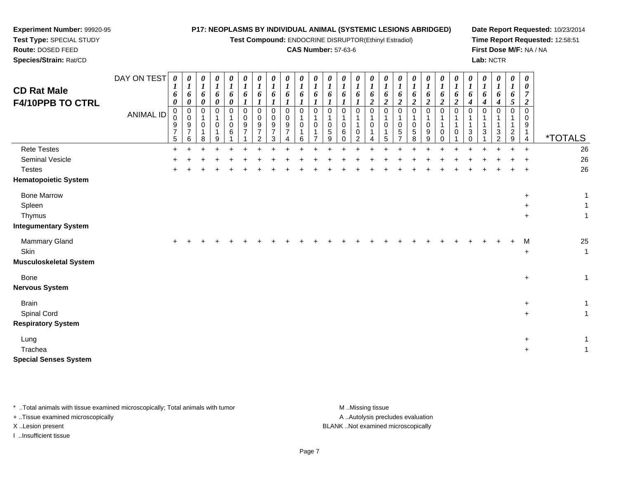| Experiment Number: 99920-95<br>Test Type: SPECIAL STUDY<br>Route: DOSED FEED<br>Species/Strain: Rat/CD |                                 |                                                                            |                                                                                 |                                                                   |                                                       |                                                                                        |                            |                                                           |                                                            |                                                   |                                             | P17: NEOPLASMS BY INDIVIDUAL ANIMAL (SYSTEMIC LESIONS ABRIDGED)<br>Test Compound: ENDOCRINE DISRUPTOR(Ethinyl Estradiol)<br><b>CAS Number: 57-63-6</b> |                                                                                        |                                                                                |                                                                                                |                                                                              |                                                                          |                                                                                  |                                                                                    |                                                                         |                                                               |                                                          |                                               | Lab: NCTR                       |                                                     |                                                                    | First Dose M/F: NA / NA                                  | Date Report Requested: 10/23/2014<br>Time Report Requested: 12:58:51 |
|--------------------------------------------------------------------------------------------------------|---------------------------------|----------------------------------------------------------------------------|---------------------------------------------------------------------------------|-------------------------------------------------------------------|-------------------------------------------------------|----------------------------------------------------------------------------------------|----------------------------|-----------------------------------------------------------|------------------------------------------------------------|---------------------------------------------------|---------------------------------------------|--------------------------------------------------------------------------------------------------------------------------------------------------------|----------------------------------------------------------------------------------------|--------------------------------------------------------------------------------|------------------------------------------------------------------------------------------------|------------------------------------------------------------------------------|--------------------------------------------------------------------------|----------------------------------------------------------------------------------|------------------------------------------------------------------------------------|-------------------------------------------------------------------------|---------------------------------------------------------------|----------------------------------------------------------|-----------------------------------------------|---------------------------------|-----------------------------------------------------|--------------------------------------------------------------------|----------------------------------------------------------|----------------------------------------------------------------------|
| <b>CD Rat Male</b><br>F4/10PPB TO CTRL                                                                 | DAY ON TEST<br><b>ANIMAL ID</b> | $\boldsymbol{\theta}$<br>1<br>6<br>0<br>0<br>0<br>9<br>$\overline{7}$<br>5 | 0<br>$\boldsymbol{l}$<br>6<br>0<br>0<br>$\mathbf 0$<br>9<br>$\overline{7}$<br>6 | 0<br>$\boldsymbol{l}$<br>6<br>0<br>$\Omega$<br>$\Omega$<br>1<br>8 | 0<br>1<br>6<br>0<br>$\Omega$<br>0<br>$\mathbf 1$<br>9 | 0<br>$\boldsymbol{l}$<br>6<br>$\boldsymbol{\theta}$<br>$\mathbf 0$<br>$\mathbf 0$<br>6 | 0<br>6<br>0<br>0<br>9<br>7 | 0<br>6<br>0<br>0<br>9<br>$\overline{7}$<br>$\overline{2}$ | 0<br>6<br>$\Omega$<br>$\Omega$<br>9<br>$\overline{7}$<br>3 | 0<br>1<br>6<br>0<br>0<br>9<br>$\overline{7}$<br>4 | 0<br>1<br>6<br>1<br>$\Omega$<br>0<br>1<br>6 | 0<br>6<br>$\boldsymbol{l}$<br>$\mathbf 0$<br>0                                                                                                         | 0<br>$\boldsymbol{l}$<br>6<br>$\boldsymbol{l}$<br>$\mathbf 0$<br>$\mathbf 0$<br>5<br>9 | 0<br>$\boldsymbol{l}$<br>6<br>$\boldsymbol{l}$<br>0<br>1<br>0<br>6<br>$\Omega$ | 0<br>1<br>6<br>$\boldsymbol{\mathit{1}}$<br>$\mathbf 0$<br>$\mathbf{1}$<br>0<br>$\overline{2}$ | 0<br>$\boldsymbol{l}$<br>6<br>$\overline{c}$<br>$\Omega$<br>1<br>0<br>1<br>4 | 0<br>$\boldsymbol{l}$<br>6<br>$\overline{2}$<br>$\Omega$<br>0<br>-1<br>5 | 0<br>6<br>$\overline{2}$<br>$\Omega$<br>$\Omega$<br>$\sqrt{5}$<br>$\overline{7}$ | 0<br>1<br>6<br>$\overline{\mathbf{c}}$<br>$\mathbf 0$<br>1<br>0<br>$\sqrt{5}$<br>8 | 0<br>1<br>6<br>$\overline{2}$<br>$\Omega$<br>1<br>$\mathbf 0$<br>9<br>9 | 0<br>6<br>$\boldsymbol{2}$<br>$\mathbf 0$<br>0<br>$\mathbf 0$ | 0<br>$\boldsymbol{I}$<br>6<br>$\boldsymbol{2}$<br>0<br>0 | 0<br>1<br>6<br>4<br>$\Omega$<br>3<br>$\Omega$ | 0<br>6<br>4<br>$\mathbf 0$<br>3 | 0<br>1<br>6<br>4<br>$\Omega$<br>3<br>$\overline{2}$ | 0<br>$\bm{l}$<br>6<br>5<br>$\mathbf 0$<br>-1<br>1<br>$\frac{2}{9}$ | 0<br>0<br>7<br>$\boldsymbol{2}$<br>0<br>0<br>9<br>1<br>4 | *TOTALS                                                              |
| <b>Rete Testes</b><br>Seminal Vesicle<br><b>Testes</b><br><b>Hematopoietic System</b>                  |                                 | $\pm$                                                                      |                                                                                 |                                                                   |                                                       |                                                                                        |                            |                                                           |                                                            |                                                   |                                             |                                                                                                                                                        |                                                                                        |                                                                                |                                                                                                |                                                                              |                                                                          |                                                                                  |                                                                                    |                                                                         |                                                               |                                                          |                                               |                                 |                                                     |                                                                    | $\div$                                                   | 26<br>26<br>26                                                       |
| <b>Bone Marrow</b><br>Spleen<br>Thymus<br><b>Integumentary System</b>                                  |                                 |                                                                            |                                                                                 |                                                                   |                                                       |                                                                                        |                            |                                                           |                                                            |                                                   |                                             |                                                                                                                                                        |                                                                                        |                                                                                |                                                                                                |                                                                              |                                                                          |                                                                                  |                                                                                    |                                                                         |                                                               |                                                          |                                               |                                 |                                                     |                                                                    | +<br>$\ddot{}$<br>$\ddot{}$                              | 1                                                                    |
| Mammary Gland<br>Skin<br><b>Musculoskeletal System</b>                                                 |                                 |                                                                            |                                                                                 |                                                                   |                                                       |                                                                                        |                            |                                                           |                                                            |                                                   |                                             |                                                                                                                                                        |                                                                                        |                                                                                |                                                                                                |                                                                              |                                                                          |                                                                                  |                                                                                    |                                                                         |                                                               |                                                          |                                               |                                 |                                                     |                                                                    | м<br>$\ddot{}$                                           | 25<br>$\mathbf{1}$                                                   |
| <b>Bone</b><br><b>Nervous System</b>                                                                   |                                 |                                                                            |                                                                                 |                                                                   |                                                       |                                                                                        |                            |                                                           |                                                            |                                                   |                                             |                                                                                                                                                        |                                                                                        |                                                                                |                                                                                                |                                                                              |                                                                          |                                                                                  |                                                                                    |                                                                         |                                                               |                                                          |                                               |                                 |                                                     |                                                                    | $\ddot{}$                                                | $\mathbf{1}$                                                         |
| <b>Brain</b><br>Spinal Cord<br><b>Respiratory System</b>                                               |                                 |                                                                            |                                                                                 |                                                                   |                                                       |                                                                                        |                            |                                                           |                                                            |                                                   |                                             |                                                                                                                                                        |                                                                                        |                                                                                |                                                                                                |                                                                              |                                                                          |                                                                                  |                                                                                    |                                                                         |                                                               |                                                          |                                               |                                 |                                                     |                                                                    | +<br>$\ddot{}$                                           | 1<br>$\mathbf{1}$                                                    |
| Lung<br>Trachea<br><b>Special Senses System</b>                                                        |                                 |                                                                            |                                                                                 |                                                                   |                                                       |                                                                                        |                            |                                                           |                                                            |                                                   |                                             |                                                                                                                                                        |                                                                                        |                                                                                |                                                                                                |                                                                              |                                                                          |                                                                                  |                                                                                    |                                                                         |                                                               |                                                          |                                               |                                 |                                                     |                                                                    | +<br>$\ddot{}$                                           | $\mathbf{1}$                                                         |

\* ..Total animals with tissue examined microscopically; Total animals with tumor M..Missing tissue M ..Missing tissue A ..Autolysis precludes evaluation + ..Tissue examined microscopically X ..Lesion present BLANK ..Not examined microscopicallyI ..Insufficient tissue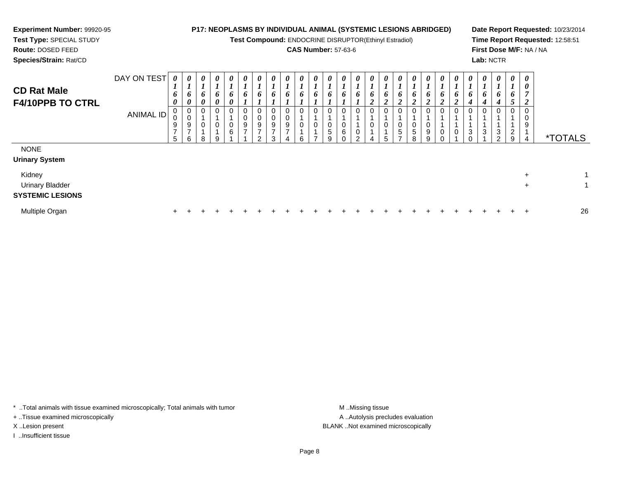## **Experiment Number:** 99920-95**Test Type:** SPECIAL STUDY

# **Route:** DOSED FEED

**Species/Strain:** Rat/CD

#### **P17: NEOPLASMS BY INDIVIDUAL ANIMAL (SYSTEMIC LESIONS ABRIDGED)**

**Test Compound:** ENDOCRINE DISRUPTOR(Ethinyl Estradiol)

### **CAS Number:** 57-63-6

**Date Report Requested:** 10/23/2014**Time Report Requested:** 12:58:51**First Dose M/F:** NA / NA**Lab:** NCTR

| <b>CD Rat Male</b><br><b>F4/10PPB TO CTRL</b>               | DAY ON TEST<br>ANIMAL ID | 0<br>$\mathbf{I}$<br>6<br>0<br>0<br>υ<br>9<br>$\overline{ }$<br>5 | $\boldsymbol{\theta}$<br>$\mathbf{I}$<br>6<br>$\boldsymbol{\theta}$<br>0<br>$\begin{array}{c} 0 \\ 9 \\ 7 \end{array}$<br>$\mathbf{I}$<br>6 | $\boldsymbol{\theta}$<br>$\overline{ }$<br>6<br>$\boldsymbol{\theta}$<br>0<br>0<br>8 | $\boldsymbol{\theta}$<br>$\mathbf{r}$<br>6<br>$\boldsymbol{\theta}$<br>$\overline{0}$<br>$\mathbf 0$<br>9 | $\boldsymbol{\theta}$<br>6<br>0<br>0<br>$\pmb{0}$<br>$\,6\,$ | 0<br>6<br>0<br>0<br>9<br>$\rightarrow$ | $\boldsymbol{\theta}$<br>L<br>6<br>0<br>$\boldsymbol{9}$<br>$\overline{ }$<br>C | $\boldsymbol{\theta}$<br>6<br>0<br>0<br>9<br>$\overline{ }$<br>3 | $\boldsymbol{\theta}$<br>6<br>0<br>9<br>$\overline{ }$ | 0<br>6<br>0<br>0<br>6 | 0<br>$\bm{o}$<br>0<br>0 | $\boldsymbol{\theta}$<br>L<br>6<br>0<br>$\pmb{0}$<br>$\,$ 5 $\,$<br>9 | $\boldsymbol{\theta}$<br>6<br>0<br>0<br>6<br>$\sim$ | $\boldsymbol{\theta}$<br>$\overline{ }$<br>6<br>0<br>0<br>$\sim$ | 0<br>6<br>$\mathbf{\Omega}$<br>◢<br>0<br>$\mathbf{0}$ | $\boldsymbol{\theta}$<br>$\bm{o}$<br>ി<br>◢<br>$\mathbf 0$<br>0<br>5 | 0<br>6<br>$\boldsymbol{2}$<br>0<br>0<br>$\sqrt{5}$ | $\boldsymbol{\theta}$<br>6<br>$\mathbf{\Omega}$<br>◢<br>0<br>0<br>5<br>8 | $\boldsymbol{\theta}$<br>$\mathbf{I}$<br>6<br>◢<br>0<br>0<br>9<br>q | $\boldsymbol{\theta}$<br>$\bm{o}$<br>$\mathbf{\hat{}}$<br>◢<br>$\overline{0}$ | $\boldsymbol{\theta}$<br>6<br>$\overline{2}$<br>0<br>$\pmb{0}$ | $\boldsymbol{\theta}$<br>6<br>4<br>3 | $\boldsymbol{\theta}$<br>6<br>4<br>3 | $\boldsymbol{\theta}$<br>$\mathbf{I}$<br>6<br>4<br>0<br>$\ensuremath{\mathsf{3}}$<br>2 | $\boldsymbol{\theta}$<br>6<br>$\mathcal{L}$<br>0<br>$\overline{a}$<br>9 | $\boldsymbol{\theta}$<br>0<br>$\overline{ }$<br>2<br>0<br>0<br>9<br>$\overline{4}$ | <i><b>*TOTALS</b></i> |
|-------------------------------------------------------------|--------------------------|-------------------------------------------------------------------|---------------------------------------------------------------------------------------------------------------------------------------------|--------------------------------------------------------------------------------------|-----------------------------------------------------------------------------------------------------------|--------------------------------------------------------------|----------------------------------------|---------------------------------------------------------------------------------|------------------------------------------------------------------|--------------------------------------------------------|-----------------------|-------------------------|-----------------------------------------------------------------------|-----------------------------------------------------|------------------------------------------------------------------|-------------------------------------------------------|----------------------------------------------------------------------|----------------------------------------------------|--------------------------------------------------------------------------|---------------------------------------------------------------------|-------------------------------------------------------------------------------|----------------------------------------------------------------|--------------------------------------|--------------------------------------|----------------------------------------------------------------------------------------|-------------------------------------------------------------------------|------------------------------------------------------------------------------------|-----------------------|
| <b>NONE</b><br><b>Urinary System</b>                        |                          |                                                                   |                                                                                                                                             |                                                                                      |                                                                                                           |                                                              |                                        |                                                                                 |                                                                  |                                                        |                       |                         |                                                                       |                                                     |                                                                  |                                                       |                                                                      |                                                    |                                                                          |                                                                     |                                                                               |                                                                |                                      |                                      |                                                                                        |                                                                         |                                                                                    |                       |
| Kidney<br><b>Urinary Bladder</b><br><b>SYSTEMIC LESIONS</b> |                          |                                                                   |                                                                                                                                             |                                                                                      |                                                                                                           |                                                              |                                        |                                                                                 |                                                                  |                                                        |                       |                         |                                                                       |                                                     |                                                                  |                                                       |                                                                      |                                                    |                                                                          |                                                                     |                                                                               |                                                                |                                      |                                      |                                                                                        |                                                                         | $\ddot{}$<br>$\ddot{}$                                                             | 1<br>1                |
| Multiple Organ                                              |                          | $\ddot{}$                                                         |                                                                                                                                             |                                                                                      |                                                                                                           |                                                              |                                        |                                                                                 |                                                                  |                                                        |                       |                         |                                                                       |                                                     |                                                                  |                                                       |                                                                      |                                                    |                                                                          |                                                                     |                                                                               |                                                                |                                      |                                      |                                                                                        |                                                                         | $\div$                                                                             | 26                    |

\* ..Total animals with tissue examined microscopically; Total animals with tumor **M** . Missing tissue M ..Missing tissue

+ ..Tissue examined microscopically

I ..Insufficient tissue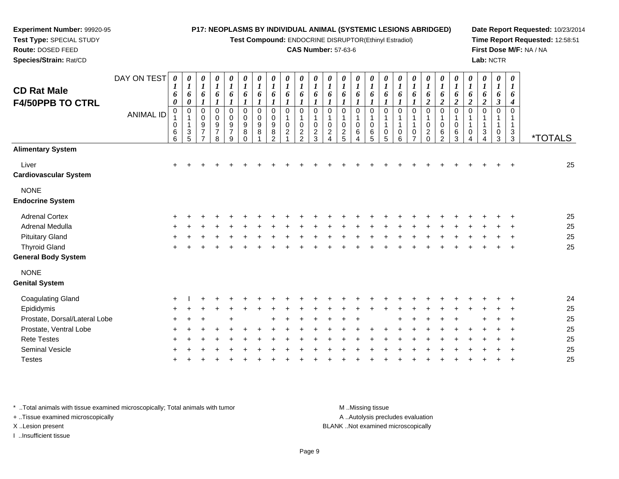| Test Type: SPECIAL STUDY<br>Route: DOSED FEED<br>Species/Strain: Rat/CD                    |                                 |                                                     |                                                         |                                                             |                                           |                                                  |                                 |                                                |                                           |                                                                            |                                                          |                                                                                          | <b>CAS Number: 57-63-6</b>                                   |                                 | Test Compound: ENDOCRINE DISRUPTOR(Ethinyl Estradiol) |                                                                                      |                                                               |                            |                                                       |                                                |                                   |                               | Lab: NCTR                                    |                                      |                                 | Time Report Requested: 12:58:51<br>First Dose M/F: NA / NA |
|--------------------------------------------------------------------------------------------|---------------------------------|-----------------------------------------------------|---------------------------------------------------------|-------------------------------------------------------------|-------------------------------------------|--------------------------------------------------|---------------------------------|------------------------------------------------|-------------------------------------------|----------------------------------------------------------------------------|----------------------------------------------------------|------------------------------------------------------------------------------------------|--------------------------------------------------------------|---------------------------------|-------------------------------------------------------|--------------------------------------------------------------------------------------|---------------------------------------------------------------|----------------------------|-------------------------------------------------------|------------------------------------------------|-----------------------------------|-------------------------------|----------------------------------------------|--------------------------------------|---------------------------------|------------------------------------------------------------|
| DAY ON TEST<br><b>CD Rat Male</b><br><b>F4/50PPB TO CTRL</b>                               | $\boldsymbol{\theta}$<br>6<br>0 | 0<br>$\boldsymbol{l}$<br>6<br>$\boldsymbol{\theta}$ | 0<br>$\boldsymbol{l}$<br>6<br>$\boldsymbol{\mathit{1}}$ | 0<br>$\boldsymbol{l}$<br>6<br>$\boldsymbol{l}$              | 0<br>$\boldsymbol{l}$<br>6<br>1           | 0<br>$\boldsymbol{l}$<br>6<br>$\boldsymbol{I}$   | 0<br>$\boldsymbol{l}$<br>6<br>1 | 0<br>$\boldsymbol{l}$<br>6                     | 0<br>6<br>$\boldsymbol{l}$                | 0<br>$\boldsymbol{l}$<br>6<br>$\boldsymbol{l}$                             | 0<br>$\boldsymbol{l}$<br>6<br>$\boldsymbol{l}$           | 0<br>$\boldsymbol{l}$<br>6<br>$\boldsymbol{l}$                                           | 0<br>1<br>6<br>1                                             | 0<br>6                          | 0<br>$\boldsymbol{l}$<br>6                            | 0<br>$\boldsymbol{l}$<br>6<br>$\boldsymbol{l}$                                       | 0<br>$\boldsymbol{l}$<br>6<br>$\boldsymbol{l}$                | 0<br>$\boldsymbol{l}$<br>6 | 0<br>$\boldsymbol{l}$<br>6<br>$\boldsymbol{2}$        | 0<br>$\boldsymbol{l}$<br>6<br>$\boldsymbol{2}$ | 0<br>6<br>$\overline{2}$          | 0<br>1<br>6<br>$\overline{2}$ | 0<br>$\boldsymbol{l}$<br>6<br>$\overline{2}$ | 0<br>$\bm{l}$<br>6<br>$\mathfrak{z}$ | $\boldsymbol{\theta}$<br>6<br>4 |                                                            |
| <b>ANIMAL ID</b>                                                                           | $\mathbf 0$<br>0<br>6<br>6      | 0<br>$\frac{3}{5}$                                  | 0<br>$\pmb{0}$<br>9<br>$\overline{7}$<br>$\overline{7}$ | $\mathbf 0$<br>0<br>$\boldsymbol{9}$<br>$\overline{7}$<br>8 | $\Omega$<br>0<br>9<br>$\overline{7}$<br>9 | $\Omega$<br>$\mathbf 0$<br>$\boldsymbol{9}$<br>8 | $\mathbf 0$<br>0<br>9<br>8      | $\Omega$<br>0<br>9<br>$\bf 8$<br>$\mathcal{P}$ | $\Omega$<br>$\mathbf 0$<br>$\overline{c}$ | $\mathbf 0$<br>$\mathbf{1}$<br>$\mathbf 0$<br>$\sqrt{2}$<br>$\mathfrak{D}$ | $\mathbf 0$<br>1<br>$\mathbf 0$<br>$\boldsymbol{2}$<br>3 | $\mathbf 0$<br>$\overline{1}$<br>$\mathbf 0$<br>$\overline{c}$<br>$\boldsymbol{\Lambda}$ | $\mathbf 0$<br>1<br>$\Omega$<br>$\overline{\mathbf{c}}$<br>5 | $\mathbf 0$<br>$\mathbf 0$<br>6 | 0<br>$\mathbf{1}$<br>0<br>6<br>5                      | $\mathbf 0$<br>$\mathbf{1}$<br>$\mathbf{1}$<br>$\begin{array}{c} 0 \\ 5 \end{array}$ | $\Omega$<br>$\overline{\mathbf{1}}$<br>$\mathbf{1}$<br>0<br>6 | $\Omega$<br>1<br>1<br>0    | $\Omega$<br>$\mathbf 0$<br>$\overline{2}$<br>$\Omega$ | $\Omega$<br>$\mathbf 0$<br>6<br>$\mathcal{P}$  | $\Omega$<br>$\mathbf 0$<br>6<br>3 | $\Omega$<br>0                 | $\mathbf 0$<br>1<br>1<br>3<br>4              | 0<br>1<br>$\mathbf 1$<br>0<br>3      | $\Omega$<br>3<br>3              | <i><b>*TOTALS</b></i>                                      |
| <b>Alimentary System</b>                                                                   |                                 |                                                     |                                                         |                                                             |                                           |                                                  |                                 |                                                |                                           |                                                                            |                                                          |                                                                                          |                                                              |                                 |                                                       |                                                                                      |                                                               |                            |                                                       |                                                |                                   |                               |                                              |                                      |                                 |                                                            |
| Liver<br><b>Cardiovascular System</b>                                                      | $\pm$                           |                                                     |                                                         |                                                             |                                           |                                                  |                                 |                                                |                                           |                                                                            |                                                          |                                                                                          |                                                              |                                 |                                                       |                                                                                      |                                                               |                            |                                                       |                                                |                                   |                               |                                              |                                      |                                 | 25                                                         |
| <b>NONE</b><br><b>Endocrine System</b>                                                     |                                 |                                                     |                                                         |                                                             |                                           |                                                  |                                 |                                                |                                           |                                                                            |                                                          |                                                                                          |                                                              |                                 |                                                       |                                                                                      |                                                               |                            |                                                       |                                                |                                   |                               |                                              |                                      |                                 |                                                            |
| <b>Adrenal Cortex</b><br>Adrenal Medulla<br><b>Pituitary Gland</b><br><b>Thyroid Gland</b> |                                 |                                                     |                                                         |                                                             |                                           |                                                  |                                 |                                                |                                           |                                                                            |                                                          |                                                                                          |                                                              |                                 |                                                       |                                                                                      |                                                               |                            |                                                       |                                                |                                   |                               |                                              |                                      |                                 | 25<br>25<br>25<br>25                                       |
| <b>General Body System</b>                                                                 |                                 |                                                     |                                                         |                                                             |                                           |                                                  |                                 |                                                |                                           |                                                                            |                                                          |                                                                                          |                                                              |                                 |                                                       |                                                                                      |                                                               |                            |                                                       |                                                |                                   |                               |                                              |                                      |                                 |                                                            |
| <b>NONE</b><br><b>Genital System</b>                                                       |                                 |                                                     |                                                         |                                                             |                                           |                                                  |                                 |                                                |                                           |                                                                            |                                                          |                                                                                          |                                                              |                                 |                                                       |                                                                                      |                                                               |                            |                                                       |                                                |                                   |                               |                                              |                                      |                                 |                                                            |
| <b>Coagulating Gland</b><br>Epididymis<br>Prostate, Dorsal/Lateral Lobe                    | $\ddot{}$                       |                                                     |                                                         |                                                             |                                           |                                                  |                                 |                                                |                                           |                                                                            |                                                          |                                                                                          |                                                              |                                 |                                                       |                                                                                      |                                                               |                            |                                                       |                                                |                                   |                               |                                              |                                      |                                 | 24<br>25<br>25                                             |
| Prostate, Ventral Lobe<br><b>Rete Testes</b><br><b>Seminal Vesicle</b>                     |                                 |                                                     |                                                         |                                                             |                                           |                                                  |                                 |                                                |                                           |                                                                            |                                                          |                                                                                          |                                                              |                                 |                                                       |                                                                                      |                                                               |                            |                                                       |                                                |                                   |                               |                                              |                                      |                                 | 25<br>25<br>25                                             |

**Date Report Requested:** 10/23/2014

\* ..Total animals with tissue examined microscopically; Total animals with tumor **M** ..Missing tissue M ..Missing tissue

<sup>+</sup>

+ ..Tissue examined microscopically

**Experiment Number:** 99920-95

**Testes** 

I ..Insufficient tissue

A ..Autolysis precludes evaluation X ..Lesion present BLANK ..Not examined microscopically

<sup>+</sup> <sup>+</sup> <sup>+</sup> <sup>+</sup> <sup>+</sup> <sup>+</sup> <sup>+</sup> <sup>+</sup> <sup>+</sup> <sup>+</sup> <sup>+</sup> <sup>+</sup> <sup>+</sup> <sup>+</sup> <sup>+</sup> <sup>+</sup> <sup>+</sup> <sup>+</sup> <sup>+</sup> <sup>+</sup> <sup>+</sup> <sup>+</sup> <sup>+</sup> <sup>+</sup> <sup>25</sup>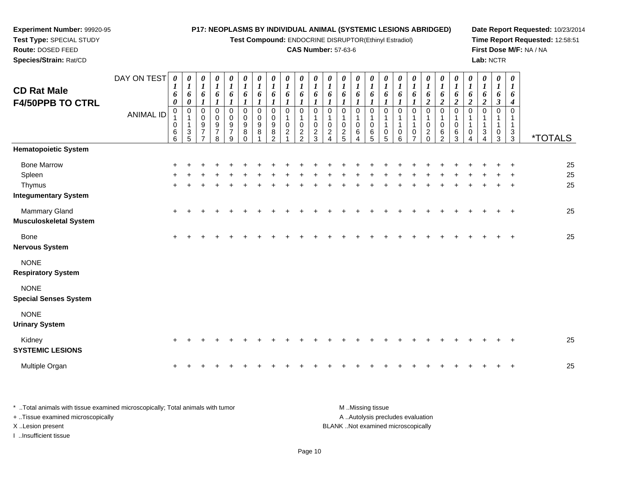| Experiment Number: 99920-95                    |                  |                                                     |                                                                         |                                                                |                                                                       |                                                        |                                                |                                |                                             |                                              |                                                             |                                                                       |                                                                    |                                                |                                  |                                                        | P17: NEOPLASMS BY INDIVIDUAL ANIMAL (SYSTEMIC LESIONS ABRIDGED) |                                            |                                                   |                                              |                                                            |                                                       |                                              |                                                |                                         |                                 | Date Report Requested: 10/23/2014 |
|------------------------------------------------|------------------|-----------------------------------------------------|-------------------------------------------------------------------------|----------------------------------------------------------------|-----------------------------------------------------------------------|--------------------------------------------------------|------------------------------------------------|--------------------------------|---------------------------------------------|----------------------------------------------|-------------------------------------------------------------|-----------------------------------------------------------------------|--------------------------------------------------------------------|------------------------------------------------|----------------------------------|--------------------------------------------------------|-----------------------------------------------------------------|--------------------------------------------|---------------------------------------------------|----------------------------------------------|------------------------------------------------------------|-------------------------------------------------------|----------------------------------------------|------------------------------------------------|-----------------------------------------|---------------------------------|-----------------------------------|
| Test Type: SPECIAL STUDY                       |                  |                                                     |                                                                         |                                                                |                                                                       |                                                        |                                                |                                |                                             |                                              |                                                             |                                                                       |                                                                    |                                                |                                  |                                                        | Test Compound: ENDOCRINE DISRUPTOR(Ethinyl Estradiol)           |                                            |                                                   |                                              |                                                            |                                                       |                                              |                                                |                                         |                                 | Time Report Requested: 12:58:51   |
| Route: DOSED FEED<br>Species/Strain: Rat/CD    |                  |                                                     |                                                                         |                                                                |                                                                       |                                                        |                                                |                                |                                             |                                              |                                                             |                                                                       | <b>CAS Number: 57-63-6</b>                                         |                                                |                                  |                                                        |                                                                 |                                            |                                                   |                                              |                                                            |                                                       |                                              |                                                | Lab: NCTR                               |                                 | First Dose M/F: NA / NA           |
| <b>CD Rat Male</b><br><b>F4/50PPB TO CTRL</b>  | DAY ON TEST      | $\boldsymbol{\theta}$<br>6<br>$\boldsymbol{\theta}$ | $\boldsymbol{\theta}$<br>$\boldsymbol{l}$<br>6<br>$\boldsymbol{\theta}$ | 0<br>$\boldsymbol{l}$<br>6<br>$\boldsymbol{l}$                 | 0<br>$\boldsymbol{l}$<br>6<br>$\mathbf{I}$                            | $\boldsymbol{\theta}$<br>$\boldsymbol{l}$<br>6         | 0<br>$\boldsymbol{l}$<br>6<br>$\boldsymbol{l}$ | 0<br>$\boldsymbol{l}$<br>6     | 0<br>$\boldsymbol{l}$<br>6                  | 0<br>$\boldsymbol{l}$<br>6<br>$\mathbf{I}$   | $\boldsymbol{\theta}$<br>$\boldsymbol{l}$<br>6              | $\boldsymbol{\theta}$<br>$\boldsymbol{l}$<br>6<br>$\boldsymbol{\eta}$ | $\boldsymbol{\theta}$<br>$\boldsymbol{l}$<br>6<br>$\boldsymbol{l}$ | $\boldsymbol{\theta}$<br>$\boldsymbol{l}$<br>6 | 0<br>$\boldsymbol{l}$<br>6<br>1  | 0<br>$\boldsymbol{l}$<br>6<br>$\boldsymbol{l}$         | $\boldsymbol{\theta}$<br>$\boldsymbol{l}$<br>6                  | 0<br>$\boldsymbol{l}$<br>6<br>$\mathbf{I}$ | 0<br>$\boldsymbol{l}$<br>6<br>$\boldsymbol{\eta}$ | 0<br>$\boldsymbol{l}$<br>6<br>$\overline{2}$ | 0<br>$\boldsymbol{l}$<br>6<br>$\overline{2}$               | 0<br>$\boldsymbol{l}$<br>6<br>$\overline{\mathbf{c}}$ | 0<br>$\boldsymbol{l}$<br>6<br>$\overline{2}$ | 0<br>$\boldsymbol{l}$<br>6<br>$\boldsymbol{2}$ | 0<br>$\boldsymbol{l}$<br>6<br>3         | 0<br>$\boldsymbol{I}$<br>6<br>4 |                                   |
|                                                | <b>ANIMAL ID</b> | $\mathbf 0$<br>$\mathbf 0$<br>$6\over 6$            | $\mathbf 0$<br>$\frac{3}{5}$                                            | 0<br>0<br>$\boldsymbol{9}$<br>$\overline{7}$<br>$\overline{7}$ | $\mathbf 0$<br>$\mathbf 0$<br>$\boldsymbol{9}$<br>$\overline{7}$<br>8 | $\mathbf 0$<br>$\mathbf 0$<br>9<br>$\overline{7}$<br>9 | 0<br>0<br>$\boldsymbol{9}$<br>8<br>$\Omega$    | $\Omega$<br>$\Omega$<br>9<br>8 | $\mathbf 0$<br>0<br>9<br>8<br>$\mathcal{P}$ | $\mathbf 0$<br>$\mathbf 0$<br>$\overline{2}$ | $\mathbf 0$<br>$\mathbf{1}$<br>$\mathbf 0$<br>$\frac{2}{2}$ | $\mathbf 0$<br>1<br>$\mathbf 0$<br>$\frac{2}{3}$                      | $\mathbf 0$<br>1<br>$\mathbf 0$<br>$\frac{2}{4}$                   | $\mathbf 0$<br>$\mathbf 0$<br>$\frac{2}{5}$    | 0<br>1<br>0<br>$\,6$<br>$\Delta$ | $\mathbf 0$<br>1<br>$\mathbf 0$<br>6<br>$\overline{5}$ | $\mathbf 0$<br>0<br>$\overline{5}$                              | 0<br>$\mathbf{1}$<br>0<br>6                | $\Omega$<br>0<br>$\overline{ }$                   | $\Omega$<br>$\mathbf 0$<br>$\frac{2}{0}$     | $\mathbf 0$<br>1<br>$\mathbf 0$<br>$\,6$<br>$\overline{2}$ | $\mathbf 0$<br>1<br>$\Omega$<br>6<br>$\overline{3}$   | $\mathbf 0$<br>0<br>$\Delta$                 | 0<br>$\mathbf{1}$<br>$\mathbf{3}$<br>$\Delta$  | $\mathbf 0$<br>1<br>0<br>$\overline{3}$ | $\Omega$<br>$\frac{3}{3}$       | <i><b>*TOTALS</b></i>             |
| <b>Hematopoietic System</b>                    |                  |                                                     |                                                                         |                                                                |                                                                       |                                                        |                                                |                                |                                             |                                              |                                                             |                                                                       |                                                                    |                                                |                                  |                                                        |                                                                 |                                            |                                                   |                                              |                                                            |                                                       |                                              |                                                |                                         |                                 |                                   |
| <b>Bone Marrow</b><br>Spleen<br>Thymus         |                  |                                                     |                                                                         |                                                                |                                                                       |                                                        |                                                |                                |                                             |                                              |                                                             |                                                                       |                                                                    |                                                |                                  |                                                        |                                                                 |                                            |                                                   |                                              |                                                            |                                                       |                                              |                                                |                                         |                                 | 25<br>25<br>25                    |
| <b>Integumentary System</b>                    |                  |                                                     |                                                                         |                                                                |                                                                       |                                                        |                                                |                                |                                             |                                              |                                                             |                                                                       |                                                                    |                                                |                                  |                                                        |                                                                 |                                            |                                                   |                                              |                                                            |                                                       |                                              |                                                |                                         |                                 |                                   |
| Mammary Gland<br><b>Musculoskeletal System</b> |                  |                                                     |                                                                         |                                                                |                                                                       |                                                        |                                                |                                |                                             |                                              |                                                             |                                                                       |                                                                    |                                                |                                  |                                                        |                                                                 |                                            |                                                   |                                              |                                                            |                                                       |                                              |                                                |                                         |                                 | 25                                |
| <b>Bone</b><br><b>Nervous System</b>           |                  |                                                     |                                                                         |                                                                |                                                                       |                                                        |                                                |                                |                                             |                                              |                                                             |                                                                       |                                                                    |                                                |                                  |                                                        |                                                                 |                                            |                                                   |                                              |                                                            |                                                       |                                              |                                                |                                         |                                 | 25                                |
| <b>NONE</b><br><b>Respiratory System</b>       |                  |                                                     |                                                                         |                                                                |                                                                       |                                                        |                                                |                                |                                             |                                              |                                                             |                                                                       |                                                                    |                                                |                                  |                                                        |                                                                 |                                            |                                                   |                                              |                                                            |                                                       |                                              |                                                |                                         |                                 |                                   |
| <b>NONE</b><br><b>Special Senses System</b>    |                  |                                                     |                                                                         |                                                                |                                                                       |                                                        |                                                |                                |                                             |                                              |                                                             |                                                                       |                                                                    |                                                |                                  |                                                        |                                                                 |                                            |                                                   |                                              |                                                            |                                                       |                                              |                                                |                                         |                                 |                                   |
| <b>NONE</b><br><b>Urinary System</b>           |                  |                                                     |                                                                         |                                                                |                                                                       |                                                        |                                                |                                |                                             |                                              |                                                             |                                                                       |                                                                    |                                                |                                  |                                                        |                                                                 |                                            |                                                   |                                              |                                                            |                                                       |                                              |                                                |                                         |                                 |                                   |
| Kidney<br><b>SYSTEMIC LESIONS</b>              |                  | $+$                                                 |                                                                         |                                                                |                                                                       |                                                        |                                                |                                |                                             |                                              |                                                             |                                                                       |                                                                    |                                                |                                  |                                                        |                                                                 |                                            |                                                   |                                              |                                                            |                                                       |                                              |                                                |                                         |                                 | 25                                |
| Multiple Organ                                 |                  |                                                     |                                                                         |                                                                |                                                                       |                                                        |                                                |                                |                                             |                                              |                                                             |                                                                       |                                                                    |                                                |                                  |                                                        |                                                                 |                                            |                                                   |                                              |                                                            |                                                       |                                              |                                                |                                         |                                 | 25                                |

| Total animals with tissue examined microscopically: Total animals with tumor | M Missing tissue                   |
|------------------------------------------------------------------------------|------------------------------------|
| Tissue examined microscopically                                              | A Autolysis precludes evaluation   |
| X Lesion present                                                             | BLANK Not examined microscopically |
| Insufficient tissue                                                          |                                    |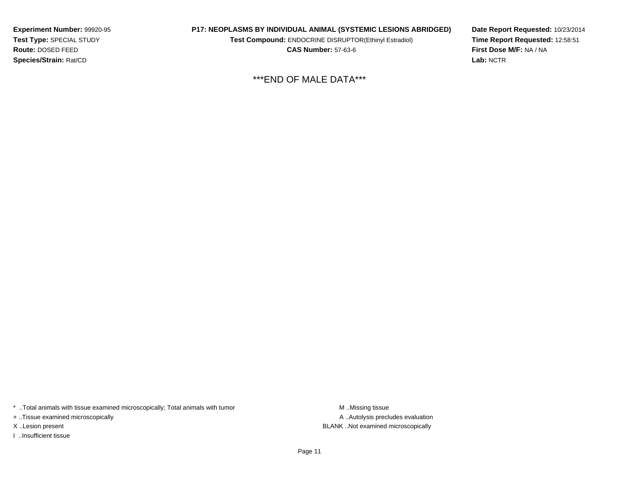**Experiment Number:** 99920-95**Test Type:** SPECIAL STUDY**Route:** DOSED FEED**Species/Strain:** Rat/CD

#### **P17: NEOPLASMS BY INDIVIDUAL ANIMAL (SYSTEMIC LESIONS ABRIDGED)**

**Test Compound:** ENDOCRINE DISRUPTOR(Ethinyl Estradiol)

**CAS Number:** 57-63-6

**Date Report Requested:** 10/23/2014**Time Report Requested:** 12:58:51**First Dose M/F:** NA / NA**Lab:** NCTR

\*\*\*END OF MALE DATA\*\*\*

\* ..Total animals with tissue examined microscopically; Total animals with tumor **M** . Missing tissue M ..Missing tissue

+ ..Tissue examined microscopically

I ..Insufficient tissue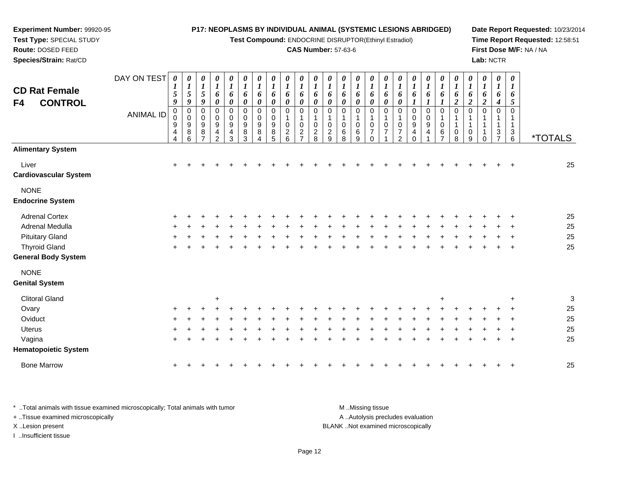**Test Compound:** ENDOCRINE DISRUPTOR(Ethinyl Estradiol)

#### **CAS Number:** 57-63-6

**Date Report Requested:** 10/23/2014**Time Report Requested:** 12:58:51**First Dose M/F:** NA / NA**Lab:** NCTR

| <b>CD Rat Female</b><br>F4<br><b>CONTROL</b> | DAY ON TEST<br><b>ANIMAL ID</b> | 0<br>$\boldsymbol{l}$<br>5<br>9<br>$\pmb{0}$<br>0<br>$\boldsymbol{9}$<br>4<br>$\overline{\mathbf{4}}$ | $\boldsymbol{\theta}$<br>$\boldsymbol{l}$<br>$\overline{5}$<br>9<br>$\mathbf 0$<br>$\pmb{0}$<br>$\boldsymbol{9}$<br>8<br>6 | 0<br>$\boldsymbol{l}$<br>5<br>9<br>$\mathbf 0$<br>$\pmb{0}$<br>$\boldsymbol{9}$<br>8 | 0<br>$\boldsymbol{l}$<br>6<br>$\pmb{\theta}$<br>0<br>0<br>$\boldsymbol{9}$<br>4<br>$\overline{2}$ | $\boldsymbol{\theta}$<br>$\boldsymbol{l}$<br>6<br>$\pmb{\theta}$<br>$\pmb{0}$<br>0<br>$\boldsymbol{9}$<br>$\overline{4}$<br>$\mathbf{3}$ | 0<br>$\boldsymbol{l}$<br>6<br>$\boldsymbol{\theta}$<br>$\mathbf 0$<br>0<br>9<br>8<br>3 | 0<br>$\boldsymbol{l}$<br>6<br>$\boldsymbol{\theta}$<br>$\mathbf 0$<br>0<br>$\boldsymbol{9}$<br>8<br>4 | 0<br>$\boldsymbol{I}$<br>6<br>$\boldsymbol{\theta}$<br>$\pmb{0}$<br>$\mathbf 0$<br>9<br>8<br>5 | 0<br>$\boldsymbol{l}$<br>6<br>0<br>0<br>0<br>$\overline{c}$<br>6 | 0<br>$\boldsymbol{l}$<br>6<br>0<br>$\mathbf 0$<br>0<br>$\overline{c}$<br>$\overline{ }$ | $\boldsymbol{\theta}$<br>$\boldsymbol{l}$<br>6<br>$\pmb{\theta}$<br>$\mathbf 0$<br>$\Omega$<br>$\overline{c}$<br>8 | 0<br>1<br>6<br>0<br>0<br>0<br>$\overline{c}$<br>9 | 0<br>$\bm{l}$<br>6<br>$\boldsymbol{\theta}$<br>$\mathbf 0$<br>0<br>6<br>8 | 0<br>$\boldsymbol{l}$<br>6<br>0<br>$\mathbf 0$<br>1<br>0<br>$\,6\,$<br>$\boldsymbol{9}$ | 0<br>$\boldsymbol{l}$<br>6<br>$\boldsymbol{\theta}$<br>$\mathbf 0$<br>1<br>0<br>$\overline{7}$<br>$\Omega$ | 0<br>$\boldsymbol{l}$<br>6<br>$\boldsymbol{\theta}$<br>$\mathbf 0$<br>$\mathbf 1$<br>0<br>$\overline{7}$ | $\boldsymbol{\theta}$<br>$\boldsymbol{l}$<br>6<br>$\boldsymbol{\theta}$<br>0<br>$\mathbf{1}$<br>0<br>$\overline{7}$<br>$\overline{2}$ | 0<br>$\boldsymbol{l}$<br>6<br>$\mathbf 0$<br>$\pmb{0}$<br>$\boldsymbol{9}$<br>4<br>0 | 0<br>$\boldsymbol{l}$<br>6<br>$\mathbf 0$<br>0<br>$9\,$<br>4 | 0<br>$\boldsymbol{l}$<br>6<br>$\pmb{0}$<br>$\mathbf 0$<br>6<br>$\overline{7}$ | 0<br>$\boldsymbol{l}$<br>6<br>$\boldsymbol{2}$<br>$\mathbf 0$<br>0<br>8 | 0<br>$\boldsymbol{l}$<br>6<br>2<br>$\mathbf 0$<br>$\mathbf 0$<br>9 | 0<br>$\boldsymbol{I}$<br>6<br>$\overline{c}$<br>$\mathbf 0$<br>1<br>1<br>1<br>∩ | 0<br>$\bm{l}$<br>6<br>4<br>$\mathbf 0$<br>1<br>1<br>3<br>$\overline{7}$ | $\boldsymbol{\theta}$<br>$\boldsymbol{l}$<br>6<br>5<br>$\Omega$<br>1<br>1<br>3<br>6 | <i><b>*TOTALS</b></i> |
|----------------------------------------------|---------------------------------|-------------------------------------------------------------------------------------------------------|----------------------------------------------------------------------------------------------------------------------------|--------------------------------------------------------------------------------------|---------------------------------------------------------------------------------------------------|------------------------------------------------------------------------------------------------------------------------------------------|----------------------------------------------------------------------------------------|-------------------------------------------------------------------------------------------------------|------------------------------------------------------------------------------------------------|------------------------------------------------------------------|-----------------------------------------------------------------------------------------|--------------------------------------------------------------------------------------------------------------------|---------------------------------------------------|---------------------------------------------------------------------------|-----------------------------------------------------------------------------------------|------------------------------------------------------------------------------------------------------------|----------------------------------------------------------------------------------------------------------|---------------------------------------------------------------------------------------------------------------------------------------|--------------------------------------------------------------------------------------|--------------------------------------------------------------|-------------------------------------------------------------------------------|-------------------------------------------------------------------------|--------------------------------------------------------------------|---------------------------------------------------------------------------------|-------------------------------------------------------------------------|-------------------------------------------------------------------------------------|-----------------------|
| <b>Alimentary System</b>                     |                                 |                                                                                                       |                                                                                                                            |                                                                                      |                                                                                                   |                                                                                                                                          |                                                                                        |                                                                                                       |                                                                                                |                                                                  |                                                                                         |                                                                                                                    |                                                   |                                                                           |                                                                                         |                                                                                                            |                                                                                                          |                                                                                                                                       |                                                                                      |                                                              |                                                                               |                                                                         |                                                                    |                                                                                 |                                                                         |                                                                                     |                       |
| Liver<br><b>Cardiovascular System</b>        |                                 | $\ddot{}$                                                                                             |                                                                                                                            |                                                                                      |                                                                                                   |                                                                                                                                          |                                                                                        |                                                                                                       |                                                                                                |                                                                  |                                                                                         |                                                                                                                    |                                                   |                                                                           |                                                                                         |                                                                                                            |                                                                                                          |                                                                                                                                       |                                                                                      |                                                              |                                                                               |                                                                         |                                                                    |                                                                                 |                                                                         |                                                                                     | 25                    |
| <b>NONE</b><br><b>Endocrine System</b>       |                                 |                                                                                                       |                                                                                                                            |                                                                                      |                                                                                                   |                                                                                                                                          |                                                                                        |                                                                                                       |                                                                                                |                                                                  |                                                                                         |                                                                                                                    |                                                   |                                                                           |                                                                                         |                                                                                                            |                                                                                                          |                                                                                                                                       |                                                                                      |                                                              |                                                                               |                                                                         |                                                                    |                                                                                 |                                                                         |                                                                                     |                       |
| <b>Adrenal Cortex</b>                        |                                 |                                                                                                       |                                                                                                                            |                                                                                      |                                                                                                   |                                                                                                                                          |                                                                                        |                                                                                                       |                                                                                                |                                                                  |                                                                                         |                                                                                                                    |                                                   |                                                                           |                                                                                         |                                                                                                            |                                                                                                          |                                                                                                                                       |                                                                                      |                                                              |                                                                               |                                                                         |                                                                    |                                                                                 |                                                                         |                                                                                     | 25                    |
| Adrenal Medulla                              |                                 |                                                                                                       |                                                                                                                            |                                                                                      |                                                                                                   |                                                                                                                                          |                                                                                        |                                                                                                       |                                                                                                |                                                                  |                                                                                         |                                                                                                                    |                                                   |                                                                           |                                                                                         |                                                                                                            |                                                                                                          |                                                                                                                                       |                                                                                      |                                                              |                                                                               |                                                                         |                                                                    |                                                                                 |                                                                         |                                                                                     | 25                    |
| <b>Pituitary Gland</b>                       |                                 |                                                                                                       |                                                                                                                            |                                                                                      |                                                                                                   |                                                                                                                                          |                                                                                        |                                                                                                       |                                                                                                |                                                                  |                                                                                         |                                                                                                                    |                                                   |                                                                           |                                                                                         |                                                                                                            |                                                                                                          |                                                                                                                                       |                                                                                      |                                                              |                                                                               |                                                                         |                                                                    |                                                                                 |                                                                         |                                                                                     | 25                    |
| <b>Thyroid Gland</b>                         |                                 | ÷                                                                                                     |                                                                                                                            |                                                                                      |                                                                                                   |                                                                                                                                          |                                                                                        |                                                                                                       |                                                                                                |                                                                  |                                                                                         |                                                                                                                    |                                                   |                                                                           |                                                                                         |                                                                                                            |                                                                                                          |                                                                                                                                       |                                                                                      |                                                              |                                                                               |                                                                         |                                                                    |                                                                                 |                                                                         |                                                                                     | 25                    |
| <b>General Body System</b>                   |                                 |                                                                                                       |                                                                                                                            |                                                                                      |                                                                                                   |                                                                                                                                          |                                                                                        |                                                                                                       |                                                                                                |                                                                  |                                                                                         |                                                                                                                    |                                                   |                                                                           |                                                                                         |                                                                                                            |                                                                                                          |                                                                                                                                       |                                                                                      |                                                              |                                                                               |                                                                         |                                                                    |                                                                                 |                                                                         |                                                                                     |                       |
| <b>NONE</b>                                  |                                 |                                                                                                       |                                                                                                                            |                                                                                      |                                                                                                   |                                                                                                                                          |                                                                                        |                                                                                                       |                                                                                                |                                                                  |                                                                                         |                                                                                                                    |                                                   |                                                                           |                                                                                         |                                                                                                            |                                                                                                          |                                                                                                                                       |                                                                                      |                                                              |                                                                               |                                                                         |                                                                    |                                                                                 |                                                                         |                                                                                     |                       |
| <b>Genital System</b>                        |                                 |                                                                                                       |                                                                                                                            |                                                                                      |                                                                                                   |                                                                                                                                          |                                                                                        |                                                                                                       |                                                                                                |                                                                  |                                                                                         |                                                                                                                    |                                                   |                                                                           |                                                                                         |                                                                                                            |                                                                                                          |                                                                                                                                       |                                                                                      |                                                              |                                                                               |                                                                         |                                                                    |                                                                                 |                                                                         |                                                                                     |                       |
| <b>Clitoral Gland</b>                        |                                 |                                                                                                       |                                                                                                                            |                                                                                      | $\ddot{}$                                                                                         |                                                                                                                                          |                                                                                        |                                                                                                       |                                                                                                |                                                                  |                                                                                         |                                                                                                                    |                                                   |                                                                           |                                                                                         |                                                                                                            |                                                                                                          |                                                                                                                                       |                                                                                      |                                                              | $\ddot{}$                                                                     |                                                                         |                                                                    |                                                                                 |                                                                         |                                                                                     | 3                     |
| Ovary                                        |                                 |                                                                                                       |                                                                                                                            |                                                                                      |                                                                                                   |                                                                                                                                          |                                                                                        |                                                                                                       |                                                                                                |                                                                  |                                                                                         |                                                                                                                    |                                                   |                                                                           |                                                                                         |                                                                                                            |                                                                                                          |                                                                                                                                       |                                                                                      |                                                              |                                                                               |                                                                         |                                                                    |                                                                                 |                                                                         |                                                                                     | 25                    |
| Oviduct                                      |                                 |                                                                                                       |                                                                                                                            |                                                                                      |                                                                                                   |                                                                                                                                          |                                                                                        |                                                                                                       |                                                                                                |                                                                  |                                                                                         |                                                                                                                    |                                                   |                                                                           |                                                                                         |                                                                                                            |                                                                                                          |                                                                                                                                       |                                                                                      |                                                              |                                                                               |                                                                         |                                                                    |                                                                                 |                                                                         |                                                                                     | 25                    |
| <b>Uterus</b>                                |                                 |                                                                                                       |                                                                                                                            |                                                                                      |                                                                                                   |                                                                                                                                          |                                                                                        |                                                                                                       |                                                                                                |                                                                  |                                                                                         |                                                                                                                    |                                                   |                                                                           |                                                                                         |                                                                                                            |                                                                                                          |                                                                                                                                       |                                                                                      |                                                              |                                                                               |                                                                         |                                                                    |                                                                                 |                                                                         |                                                                                     | 25                    |
| Vagina                                       |                                 |                                                                                                       |                                                                                                                            |                                                                                      |                                                                                                   |                                                                                                                                          |                                                                                        |                                                                                                       |                                                                                                |                                                                  |                                                                                         |                                                                                                                    |                                                   |                                                                           |                                                                                         |                                                                                                            |                                                                                                          |                                                                                                                                       |                                                                                      |                                                              |                                                                               |                                                                         |                                                                    |                                                                                 |                                                                         |                                                                                     | 25                    |
| <b>Hematopoietic System</b>                  |                                 |                                                                                                       |                                                                                                                            |                                                                                      |                                                                                                   |                                                                                                                                          |                                                                                        |                                                                                                       |                                                                                                |                                                                  |                                                                                         |                                                                                                                    |                                                   |                                                                           |                                                                                         |                                                                                                            |                                                                                                          |                                                                                                                                       |                                                                                      |                                                              |                                                                               |                                                                         |                                                                    |                                                                                 |                                                                         |                                                                                     |                       |
| <b>Bone Marrow</b>                           |                                 | $\ddot{}$                                                                                             |                                                                                                                            |                                                                                      |                                                                                                   |                                                                                                                                          |                                                                                        |                                                                                                       |                                                                                                |                                                                  |                                                                                         |                                                                                                                    |                                                   |                                                                           |                                                                                         |                                                                                                            |                                                                                                          |                                                                                                                                       |                                                                                      |                                                              |                                                                               |                                                                         |                                                                    |                                                                                 |                                                                         |                                                                                     | 25                    |
|                                              |                                 |                                                                                                       |                                                                                                                            |                                                                                      |                                                                                                   |                                                                                                                                          |                                                                                        |                                                                                                       |                                                                                                |                                                                  |                                                                                         |                                                                                                                    |                                                   |                                                                           |                                                                                         |                                                                                                            |                                                                                                          |                                                                                                                                       |                                                                                      |                                                              |                                                                               |                                                                         |                                                                    |                                                                                 |                                                                         |                                                                                     |                       |

\* ..Total animals with tissue examined microscopically; Total animals with tumor **M** . Missing tissue M ..Missing tissue A ..Autolysis precludes evaluation + ..Tissue examined microscopically X ..Lesion present BLANK ..Not examined microscopicallyI ..Insufficient tissue

**Experiment Number:** 99920-95**Test Type:** SPECIAL STUDY**Route:** DOSED FEED**Species/Strain:** Rat/CD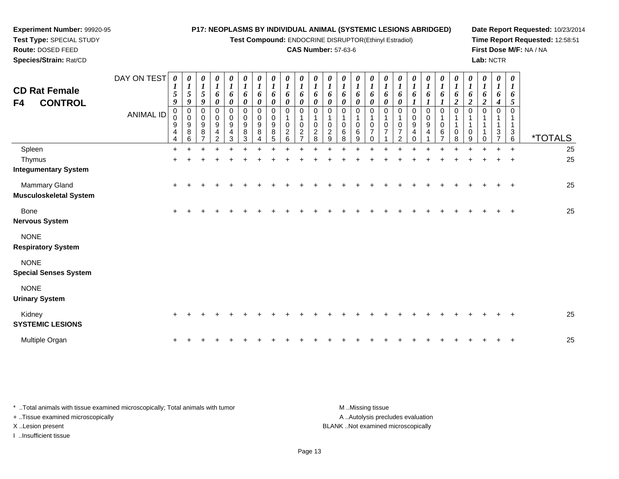**Test Compound:** ENDOCRINE DISRUPTOR(Ethinyl Estradiol)

#### **CAS Number:** 57-63-6

**Date Report Requested:** 10/23/2014**Time Report Requested:** 12:58:51**First Dose M/F:** NA / NA**Lab:** NCTR

**Test Type:** SPECIAL STUDY**Route:** DOSED FEED **Species/Strain:** Rat/CDDAY ON TEST *0 1***CD Rat Female***0 10 10 10 10 10 10 1*

**Experiment Number:** 99920-95

| <b>CD Rat Female</b><br><b>CONTROL</b><br>F4   | DAY ON TEST<br><b>ANIMAL ID</b> | 0<br>$\sqrt{5}$<br>9<br>$\begin{smallmatrix}0\\0\end{smallmatrix}$<br>$\mathsf g$<br>$\overline{4}$<br>4 | 0<br>$\bm{l}$<br>$\overline{5}$<br>9<br>$_{\rm 0}^{\rm 0}$<br>9<br>$\bf 8$<br>6 | 1<br>5<br>9<br>$\,0\,$<br>0<br>9<br>8 | 0<br>$\boldsymbol{l}$<br>6<br>$\boldsymbol{\theta}$<br>$\,0\,$<br>0<br>9<br>4<br>$\mathcal{P}$ | $\boldsymbol{\theta}$<br>$\boldsymbol{l}$<br>6<br>$\boldsymbol{\theta}$<br>0<br>0<br>9<br>4<br>3 | 0<br>$\boldsymbol{l}$<br>6<br>$\boldsymbol{\theta}$<br>0<br>$\pmb{0}$<br>$\boldsymbol{9}$<br>$\bf 8$<br>3 | U<br>$\boldsymbol{l}$<br>6<br>0<br>$\,0\,$<br>0<br>$\boldsymbol{9}$<br>8 | 0<br>$\boldsymbol{l}$<br>6<br>$\boldsymbol{\theta}$<br>$\pmb{0}$<br>0<br>$_{8}^{\mathrm{9}}$<br>5 | $\boldsymbol{\theta}$<br>$\boldsymbol{l}$<br>6<br>$\boldsymbol{\theta}$<br>$\Omega$<br>0<br>$\sqrt{2}$<br>6 | $\boldsymbol{l}$<br>6<br>0<br>$\Omega$<br>$\mathbf 0$<br>$\overline{c}$ | 0<br>$\boldsymbol{l}$<br>6<br>$\boldsymbol{\theta}$<br>$\Omega$<br>0<br>$\overline{2}$<br>8 | 0<br>$\boldsymbol{l}$<br>6<br>$\boldsymbol{\theta}$<br>$\mathbf 0$<br>0<br>$\overline{c}$<br>9 | 0<br>$\boldsymbol{l}$<br>6<br>0<br>$\Omega$<br>0<br>$\,6$<br>8 | U<br>$\boldsymbol{l}$<br>6<br>$\boldsymbol{\theta}$<br>0<br>$\pmb{0}$<br>$\,6$<br>9 | 0<br>$\boldsymbol{l}$<br>6<br>$\boldsymbol{\theta}$<br>$\mathbf 0$<br>$\mathbf 1$<br>$\mathbf 0$<br>$\overline{7}$<br>$\Omega$ | $\boldsymbol{\theta}$<br>$\boldsymbol{l}$<br>6<br>$\boldsymbol{\theta}$<br>$\mathbf 0$<br>$\mathbf{1}$<br>0<br>$\overline{7}$ | $\boldsymbol{l}$<br>6<br>0<br>$\Omega$<br>0<br>7<br>2 | 0<br>$\boldsymbol{l}$<br>6<br>$\pmb{0}$<br>0<br>$\boldsymbol{9}$<br>4<br>$\Omega$ | 0<br>$\boldsymbol{l}$<br>6<br>$\mathbf 0$<br>0<br>$\boldsymbol{9}$<br>4 | 0<br>$\boldsymbol{l}$<br>6<br>$\mathbf 0$<br>0<br>$\,6\,$ | $\boldsymbol{\theta}$<br>$\boldsymbol{l}$<br>6<br>$\boldsymbol{2}$<br>$\mathbf 0$<br>$\overline{1}$<br>$\mathbf 0$<br>8 | 0<br>$\boldsymbol{l}$<br>6<br>$\overline{2}$<br>$\mathbf 0$<br>$\pmb{0}$<br>9 | 0<br>$\boldsymbol{l}$<br>6<br>$\overline{\mathbf{c}}$<br>$\Omega$ | 0<br>$\boldsymbol{l}$<br>6<br>4<br>$\Omega$<br>3 | 0<br>$\boldsymbol{l}$<br>6<br>5<br>$\Omega$<br>$\mathbf{3}$<br>6 | <i><b>*TOTALS</b></i> |
|------------------------------------------------|---------------------------------|----------------------------------------------------------------------------------------------------------|---------------------------------------------------------------------------------|---------------------------------------|------------------------------------------------------------------------------------------------|--------------------------------------------------------------------------------------------------|-----------------------------------------------------------------------------------------------------------|--------------------------------------------------------------------------|---------------------------------------------------------------------------------------------------|-------------------------------------------------------------------------------------------------------------|-------------------------------------------------------------------------|---------------------------------------------------------------------------------------------|------------------------------------------------------------------------------------------------|----------------------------------------------------------------|-------------------------------------------------------------------------------------|--------------------------------------------------------------------------------------------------------------------------------|-------------------------------------------------------------------------------------------------------------------------------|-------------------------------------------------------|-----------------------------------------------------------------------------------|-------------------------------------------------------------------------|-----------------------------------------------------------|-------------------------------------------------------------------------------------------------------------------------|-------------------------------------------------------------------------------|-------------------------------------------------------------------|--------------------------------------------------|------------------------------------------------------------------|-----------------------|
| Spleen                                         |                                 | $\ddot{}$                                                                                                |                                                                                 |                                       |                                                                                                |                                                                                                  |                                                                                                           |                                                                          |                                                                                                   |                                                                                                             |                                                                         |                                                                                             |                                                                                                |                                                                |                                                                                     |                                                                                                                                |                                                                                                                               |                                                       |                                                                                   |                                                                         |                                                           |                                                                                                                         |                                                                               |                                                                   |                                                  | $\ddot{}$                                                        | 25                    |
| Thymus<br><b>Integumentary System</b>          |                                 | $\ddot{}$                                                                                                |                                                                                 |                                       |                                                                                                |                                                                                                  |                                                                                                           |                                                                          |                                                                                                   |                                                                                                             |                                                                         |                                                                                             |                                                                                                |                                                                |                                                                                     |                                                                                                                                |                                                                                                                               |                                                       |                                                                                   |                                                                         |                                                           |                                                                                                                         |                                                                               |                                                                   |                                                  |                                                                  | 25                    |
| Mammary Gland<br><b>Musculoskeletal System</b> |                                 | $\ddot{}$                                                                                                |                                                                                 |                                       |                                                                                                |                                                                                                  |                                                                                                           |                                                                          |                                                                                                   |                                                                                                             |                                                                         |                                                                                             |                                                                                                |                                                                |                                                                                     |                                                                                                                                |                                                                                                                               |                                                       |                                                                                   |                                                                         |                                                           |                                                                                                                         |                                                                               |                                                                   |                                                  |                                                                  | 25                    |
| Bone<br><b>Nervous System</b>                  |                                 | $\ddot{}$                                                                                                |                                                                                 |                                       |                                                                                                |                                                                                                  |                                                                                                           |                                                                          |                                                                                                   |                                                                                                             |                                                                         |                                                                                             |                                                                                                |                                                                |                                                                                     |                                                                                                                                |                                                                                                                               |                                                       |                                                                                   |                                                                         |                                                           |                                                                                                                         |                                                                               |                                                                   |                                                  | $\overline{ }$                                                   | 25                    |
| <b>NONE</b><br><b>Respiratory System</b>       |                                 |                                                                                                          |                                                                                 |                                       |                                                                                                |                                                                                                  |                                                                                                           |                                                                          |                                                                                                   |                                                                                                             |                                                                         |                                                                                             |                                                                                                |                                                                |                                                                                     |                                                                                                                                |                                                                                                                               |                                                       |                                                                                   |                                                                         |                                                           |                                                                                                                         |                                                                               |                                                                   |                                                  |                                                                  |                       |
| <b>NONE</b><br><b>Special Senses System</b>    |                                 |                                                                                                          |                                                                                 |                                       |                                                                                                |                                                                                                  |                                                                                                           |                                                                          |                                                                                                   |                                                                                                             |                                                                         |                                                                                             |                                                                                                |                                                                |                                                                                     |                                                                                                                                |                                                                                                                               |                                                       |                                                                                   |                                                                         |                                                           |                                                                                                                         |                                                                               |                                                                   |                                                  |                                                                  |                       |
| <b>NONE</b><br><b>Urinary System</b>           |                                 |                                                                                                          |                                                                                 |                                       |                                                                                                |                                                                                                  |                                                                                                           |                                                                          |                                                                                                   |                                                                                                             |                                                                         |                                                                                             |                                                                                                |                                                                |                                                                                     |                                                                                                                                |                                                                                                                               |                                                       |                                                                                   |                                                                         |                                                           |                                                                                                                         |                                                                               |                                                                   |                                                  |                                                                  |                       |
| Kidney<br><b>SYSTEMIC LESIONS</b>              |                                 | $\ddot{}$                                                                                                |                                                                                 |                                       |                                                                                                |                                                                                                  |                                                                                                           |                                                                          |                                                                                                   |                                                                                                             |                                                                         |                                                                                             |                                                                                                |                                                                |                                                                                     |                                                                                                                                |                                                                                                                               |                                                       |                                                                                   |                                                                         |                                                           |                                                                                                                         |                                                                               |                                                                   |                                                  |                                                                  | 25                    |
| Multiple Organ                                 |                                 | $\ddot{}$                                                                                                |                                                                                 |                                       |                                                                                                |                                                                                                  |                                                                                                           |                                                                          |                                                                                                   |                                                                                                             |                                                                         |                                                                                             |                                                                                                |                                                                |                                                                                     |                                                                                                                                |                                                                                                                               |                                                       |                                                                                   |                                                                         |                                                           |                                                                                                                         |                                                                               |                                                                   |                                                  |                                                                  | 25                    |

\* ..Total animals with tissue examined microscopically; Total animals with tumor **M** ...Missing tissue M ...Missing tissue A .. Autolysis precludes evaluation + ..Tissue examined microscopically X ..Lesion present BLANK ..Not examined microscopicallyI ..Insufficient tissue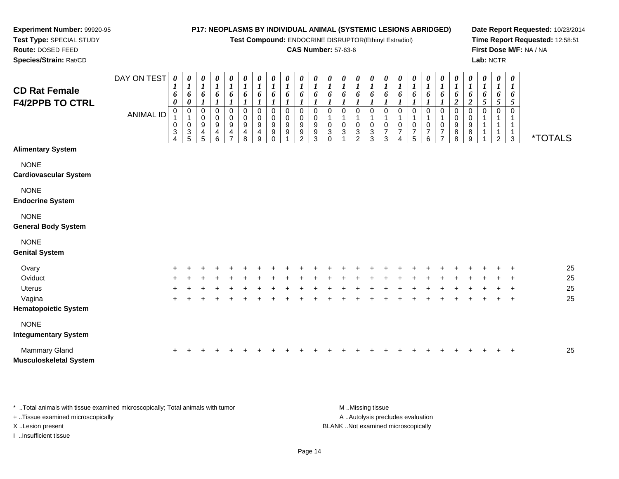**Test Compound:** ENDOCRINE DISRUPTOR(Ethinyl Estradiol)

#### **CAS Number:** 57-63-6

**Date Report Requested:** 10/23/2014**Time Report Requested:** 12:58:51**First Dose M/F:** NA / NA**Lab:** NCTR

| <b>CD Rat Female</b><br><b>F4/2PPB TO CTRL</b> | DAY ON TEST<br>ANIMAL ID | 0<br>6<br>0<br>$\mathbf 0$<br>0<br>3<br>4 | 0<br>$\boldsymbol{l}$<br>6<br>0<br>$\mathbf 0$<br>0<br>$\sqrt{3}$<br>5 | 0<br>$\boldsymbol{l}$<br>6<br>$\mathbf 0$<br>0<br>9<br>4<br>5 | 0<br>$\boldsymbol{l}$<br>6<br>0<br>$\mathbf 0$<br>9<br>4<br>6 | 0<br>$\boldsymbol{l}$<br>6<br>0<br>0<br>9<br>4<br>7 | 0<br>$\boldsymbol{l}$<br>6<br>0<br>0<br>9<br>4<br>8 | $\boldsymbol{\theta}$<br>$\boldsymbol{l}$<br>6<br>$\pmb{0}$<br>0<br>9<br>4<br>9 | 0<br>$\boldsymbol{l}$<br>6<br>$\pmb{0}$<br>$\pmb{0}$<br>9<br>9<br>$\Omega$ | 0<br>$\boldsymbol{l}$<br>6<br>0<br>0<br>9<br>9 | 0<br>$\boldsymbol{l}$<br>6<br>0<br>0<br>9<br>9<br>$\mathcal{P}$ | $\boldsymbol{\theta}$<br>$\boldsymbol{l}$<br>6<br>$\mathbf 0$<br>0<br>9<br>$\boldsymbol{9}$<br>3 | 0<br>$\boldsymbol{l}$<br>6<br>0<br>$\,0\,$<br>$\ensuremath{\mathsf{3}}$<br>$\Omega$ | 0<br>$\boldsymbol{l}$<br>6<br>0<br>$\pmb{0}$<br>3 | $\boldsymbol{\theta}$<br>$\boldsymbol{l}$<br>6<br>0<br>0<br>$\ensuremath{\mathsf{3}}$<br>$\overline{2}$ | $\boldsymbol{\theta}$<br>$\boldsymbol{l}$<br>6<br>$\Omega$<br>$\pmb{0}$<br>$\mathbf{3}$<br>3 | 0<br>6<br>$\Omega$<br>0<br>$\overline{7}$<br>3 | 0<br>$\boldsymbol{l}$<br>6<br>$\Omega$<br>0<br>$\overline{7}$<br>4 | $\boldsymbol{\theta}$<br>1<br>6<br>$\Omega$<br>0<br>$\overline{7}$<br>5 | 0<br>$\boldsymbol{l}$<br>6<br>$\mathbf 0$<br>0<br>7<br>6 | 0<br>$\boldsymbol{l}$<br>6<br>0<br>$\pmb{0}$<br>7<br>$\overline{ }$ | 0<br>$\boldsymbol{l}$<br>6<br>$\boldsymbol{2}$<br>0<br>$\pmb{0}$<br>9<br>8<br>8 | 0<br>$\boldsymbol{l}$<br>6<br>$\boldsymbol{2}$<br>0<br>0<br>9<br>8<br>9 | 0<br>1<br>6<br>5<br>0 | 0<br>$\boldsymbol{l}$<br>6<br>5<br>$\mathbf 0$<br>1<br>1<br>1<br>$\overline{2}$ | 0<br>$\boldsymbol{l}$<br>6<br>5<br>$\Omega$<br>$\mathbf{1}$<br>3 | <i><b>*TOTALS</b></i> |
|------------------------------------------------|--------------------------|-------------------------------------------|------------------------------------------------------------------------|---------------------------------------------------------------|---------------------------------------------------------------|-----------------------------------------------------|-----------------------------------------------------|---------------------------------------------------------------------------------|----------------------------------------------------------------------------|------------------------------------------------|-----------------------------------------------------------------|--------------------------------------------------------------------------------------------------|-------------------------------------------------------------------------------------|---------------------------------------------------|---------------------------------------------------------------------------------------------------------|----------------------------------------------------------------------------------------------|------------------------------------------------|--------------------------------------------------------------------|-------------------------------------------------------------------------|----------------------------------------------------------|---------------------------------------------------------------------|---------------------------------------------------------------------------------|-------------------------------------------------------------------------|-----------------------|---------------------------------------------------------------------------------|------------------------------------------------------------------|-----------------------|
| <b>Alimentary System</b>                       |                          |                                           |                                                                        |                                                               |                                                               |                                                     |                                                     |                                                                                 |                                                                            |                                                |                                                                 |                                                                                                  |                                                                                     |                                                   |                                                                                                         |                                                                                              |                                                |                                                                    |                                                                         |                                                          |                                                                     |                                                                                 |                                                                         |                       |                                                                                 |                                                                  |                       |
| <b>NONE</b><br><b>Cardiovascular System</b>    |                          |                                           |                                                                        |                                                               |                                                               |                                                     |                                                     |                                                                                 |                                                                            |                                                |                                                                 |                                                                                                  |                                                                                     |                                                   |                                                                                                         |                                                                                              |                                                |                                                                    |                                                                         |                                                          |                                                                     |                                                                                 |                                                                         |                       |                                                                                 |                                                                  |                       |
| <b>NONE</b><br><b>Endocrine System</b>         |                          |                                           |                                                                        |                                                               |                                                               |                                                     |                                                     |                                                                                 |                                                                            |                                                |                                                                 |                                                                                                  |                                                                                     |                                                   |                                                                                                         |                                                                                              |                                                |                                                                    |                                                                         |                                                          |                                                                     |                                                                                 |                                                                         |                       |                                                                                 |                                                                  |                       |
| <b>NONE</b><br><b>General Body System</b>      |                          |                                           |                                                                        |                                                               |                                                               |                                                     |                                                     |                                                                                 |                                                                            |                                                |                                                                 |                                                                                                  |                                                                                     |                                                   |                                                                                                         |                                                                                              |                                                |                                                                    |                                                                         |                                                          |                                                                     |                                                                                 |                                                                         |                       |                                                                                 |                                                                  |                       |
| <b>NONE</b><br><b>Genital System</b>           |                          |                                           |                                                                        |                                                               |                                                               |                                                     |                                                     |                                                                                 |                                                                            |                                                |                                                                 |                                                                                                  |                                                                                     |                                                   |                                                                                                         |                                                                                              |                                                |                                                                    |                                                                         |                                                          |                                                                     |                                                                                 |                                                                         |                       |                                                                                 |                                                                  |                       |
| Ovary                                          |                          |                                           |                                                                        |                                                               |                                                               |                                                     |                                                     |                                                                                 |                                                                            |                                                |                                                                 |                                                                                                  |                                                                                     |                                                   |                                                                                                         |                                                                                              |                                                |                                                                    |                                                                         |                                                          |                                                                     |                                                                                 |                                                                         |                       |                                                                                 |                                                                  | 25                    |
| Oviduct                                        |                          |                                           |                                                                        |                                                               |                                                               |                                                     |                                                     |                                                                                 |                                                                            |                                                |                                                                 |                                                                                                  |                                                                                     |                                                   |                                                                                                         |                                                                                              |                                                |                                                                    |                                                                         |                                                          |                                                                     |                                                                                 |                                                                         |                       |                                                                                 |                                                                  | 25                    |
| Uterus                                         |                          |                                           |                                                                        |                                                               |                                                               |                                                     |                                                     |                                                                                 |                                                                            |                                                |                                                                 |                                                                                                  |                                                                                     |                                                   |                                                                                                         |                                                                                              |                                                |                                                                    |                                                                         |                                                          |                                                                     |                                                                                 |                                                                         |                       |                                                                                 |                                                                  | 25                    |
| Vagina<br><b>Hematopoietic System</b>          |                          |                                           |                                                                        |                                                               |                                                               |                                                     |                                                     |                                                                                 |                                                                            |                                                |                                                                 |                                                                                                  |                                                                                     |                                                   |                                                                                                         |                                                                                              |                                                |                                                                    |                                                                         |                                                          |                                                                     |                                                                                 |                                                                         |                       |                                                                                 | $\ddot{}$                                                        | 25                    |
| <b>NONE</b><br><b>Integumentary System</b>     |                          |                                           |                                                                        |                                                               |                                                               |                                                     |                                                     |                                                                                 |                                                                            |                                                |                                                                 |                                                                                                  |                                                                                     |                                                   |                                                                                                         |                                                                                              |                                                |                                                                    |                                                                         |                                                          |                                                                     |                                                                                 |                                                                         |                       |                                                                                 |                                                                  |                       |

| Mammary Gland                 |  |  |  |  |  |  |  |  |  |  |  |  |  | 25 |
|-------------------------------|--|--|--|--|--|--|--|--|--|--|--|--|--|----|
| <b>Musculoskeletal System</b> |  |  |  |  |  |  |  |  |  |  |  |  |  |    |

\* ..Total animals with tissue examined microscopically; Total animals with tumor **M** ...Missing tissue M ...Missing tissue A .. Autolysis precludes evaluation + ..Tissue examined microscopically X ..Lesion present BLANK ..Not examined microscopicallyI ..Insufficient tissue

**Experiment Number:** 99920-95**Test Type:** SPECIAL STUDY**Route:** DOSED FEED**Species/Strain:** Rat/CD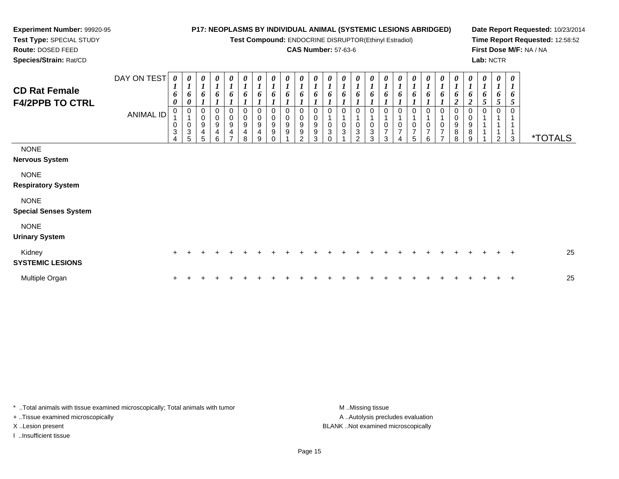**Test Compound:** ENDOCRINE DISRUPTOR(Ethinyl Estradiol)

#### **CAS Number:** 57-63-6

**Date Report Requested:** 10/23/2014**Time Report Requested:** 12:58:52**First Dose M/F:** NA / NA**Lab:** NCTR

**Experiment Number:** 99920-95**Test Type:** SPECIAL STUDY**Route:** DOSED FEED**Species/Strain:** Rat/CD

| <b>CD Rat Female</b><br><b>F4/2PPB TO CTRL</b> | DAY ON TEST<br><b>ANIMAL ID</b> | $\pmb{\theta}$<br>$\boldsymbol{l}$<br>6<br>$\pmb{\theta}$<br>0<br>$\mathbf 0$<br>$\ensuremath{\mathsf{3}}$ | $\boldsymbol{\theta}$<br>$\boldsymbol{l}$<br>6<br>$\boldsymbol{0}$<br>$\overline{1}$<br>$\pmb{0}$<br>$\mathbf{3}$<br>5 | 0<br>6<br>0<br>$\mathbf 0$<br>9<br>4<br>5 | $\boldsymbol{\theta}$<br>$\boldsymbol{l}$<br>6<br>0<br>$\mathbf 0$<br>9<br>4<br>6 | 0<br>$\boldsymbol{l}$<br>6<br>$\pmb{0}$<br>9<br>4<br>⇁ | 0<br>6<br>0<br>$\,0\,$<br>$\boldsymbol{9}$<br>4<br>8 | $\boldsymbol{\theta}$<br>$\boldsymbol{l}$<br>6<br>0<br>$\mathsf{O}\xspace$<br>9<br>4<br>9 | 0<br>$\boldsymbol{l}$<br>6<br>0<br>$\mathsf 0$<br>$\boldsymbol{9}$<br>9<br>$\Omega$ | $\pmb{\theta}$<br>$\boldsymbol{l}$<br>6<br>0<br>$\pmb{0}$<br>$\boldsymbol{9}$<br>9 | $\frac{\theta}{I}$<br>6<br>$\,0\,$<br>$\pmb{0}$<br>$\boldsymbol{9}$<br>$\boldsymbol{9}$<br>$\mathfrak{p}$ | $\boldsymbol{\theta}$<br>$\boldsymbol{l}$<br>6<br>$\mathbf 0$<br>$\pmb{0}$<br>$\boldsymbol{9}$<br>9<br>3 | 0<br>$\boldsymbol{l}$<br>6<br>$\mathbf 0$<br>$\mathbf{3}$ | $\pmb{\theta}$<br>6<br>$\Omega$<br>3 | 0<br>6<br>0<br>3<br>$\mathcal{P}$ | 0<br>1<br>6<br>0<br>0<br>$\ensuremath{\mathsf{3}}$<br>3 | $\boldsymbol{\theta}$<br>$\boldsymbol{l}$<br>6<br>1<br>$\mathbf 0$<br>$\overline{7}$<br>3 | $\pmb{\theta}$<br>$\boldsymbol{l}$<br>6<br>0<br>$\pmb{0}$<br>$\overline{7}$ | $\boldsymbol{\theta}$<br>$\boldsymbol{l}$<br>6<br>0<br>0<br>$\overline{7}$<br>5 | 0<br>$\boldsymbol{l}$<br>6<br>$\overline{7}$<br>6 | $\boldsymbol{\theta}$<br>6<br>0<br>$\overline{7}$ | 0<br>6<br>0<br>0<br>$9\,$<br>8<br>$\mathsf{R}$ | 0<br>1<br>6<br>$\overline{\mathbf{2}}$<br>0<br>0<br>$\boldsymbol{9}$<br>8<br>9 | $\pmb{\theta}$<br>$\boldsymbol{l}$<br>6<br>5 | $\pmb{\theta}$<br>$\boldsymbol{l}$<br>6<br>$\mathfrak{H}$<br>0<br>2 | $\boldsymbol{\theta}$<br>1<br>6<br>5<br>$\overline{\mathbf{A}}$<br>3 | <i><b>*TOTALS</b></i> |
|------------------------------------------------|---------------------------------|------------------------------------------------------------------------------------------------------------|------------------------------------------------------------------------------------------------------------------------|-------------------------------------------|-----------------------------------------------------------------------------------|--------------------------------------------------------|------------------------------------------------------|-------------------------------------------------------------------------------------------|-------------------------------------------------------------------------------------|------------------------------------------------------------------------------------|-----------------------------------------------------------------------------------------------------------|----------------------------------------------------------------------------------------------------------|-----------------------------------------------------------|--------------------------------------|-----------------------------------|---------------------------------------------------------|-------------------------------------------------------------------------------------------|-----------------------------------------------------------------------------|---------------------------------------------------------------------------------|---------------------------------------------------|---------------------------------------------------|------------------------------------------------|--------------------------------------------------------------------------------|----------------------------------------------|---------------------------------------------------------------------|----------------------------------------------------------------------|-----------------------|
| <b>NONE</b><br><b>Nervous System</b>           |                                 |                                                                                                            |                                                                                                                        |                                           |                                                                                   |                                                        |                                                      |                                                                                           |                                                                                     |                                                                                    |                                                                                                           |                                                                                                          |                                                           |                                      |                                   |                                                         |                                                                                           |                                                                             |                                                                                 |                                                   |                                                   |                                                |                                                                                |                                              |                                                                     |                                                                      |                       |
| <b>NONE</b><br><b>Respiratory System</b>       |                                 |                                                                                                            |                                                                                                                        |                                           |                                                                                   |                                                        |                                                      |                                                                                           |                                                                                     |                                                                                    |                                                                                                           |                                                                                                          |                                                           |                                      |                                   |                                                         |                                                                                           |                                                                             |                                                                                 |                                                   |                                                   |                                                |                                                                                |                                              |                                                                     |                                                                      |                       |
| <b>NONE</b><br><b>Special Senses System</b>    |                                 |                                                                                                            |                                                                                                                        |                                           |                                                                                   |                                                        |                                                      |                                                                                           |                                                                                     |                                                                                    |                                                                                                           |                                                                                                          |                                                           |                                      |                                   |                                                         |                                                                                           |                                                                             |                                                                                 |                                                   |                                                   |                                                |                                                                                |                                              |                                                                     |                                                                      |                       |
| <b>NONE</b><br><b>Urinary System</b>           |                                 |                                                                                                            |                                                                                                                        |                                           |                                                                                   |                                                        |                                                      |                                                                                           |                                                                                     |                                                                                    |                                                                                                           |                                                                                                          |                                                           |                                      |                                   |                                                         |                                                                                           |                                                                             |                                                                                 |                                                   |                                                   |                                                |                                                                                |                                              |                                                                     |                                                                      |                       |
| Kidney<br><b>SYSTEMIC LESIONS</b>              |                                 | $\pm$                                                                                                      |                                                                                                                        |                                           |                                                                                   |                                                        |                                                      |                                                                                           |                                                                                     |                                                                                    |                                                                                                           |                                                                                                          |                                                           |                                      |                                   |                                                         |                                                                                           |                                                                             |                                                                                 |                                                   |                                                   |                                                |                                                                                |                                              |                                                                     | $\div$                                                               | 25                    |
| Multiple Organ                                 |                                 |                                                                                                            |                                                                                                                        |                                           |                                                                                   |                                                        |                                                      |                                                                                           |                                                                                     |                                                                                    |                                                                                                           |                                                                                                          |                                                           |                                      |                                   |                                                         |                                                                                           |                                                                             |                                                                                 |                                                   |                                                   |                                                |                                                                                |                                              |                                                                     | $\pm$                                                                | 25                    |

\* ..Total animals with tissue examined microscopically; Total animals with tumor **M** . Missing tissue M ..Missing tissue + ..Tissue examined microscopically

I ..Insufficient tissue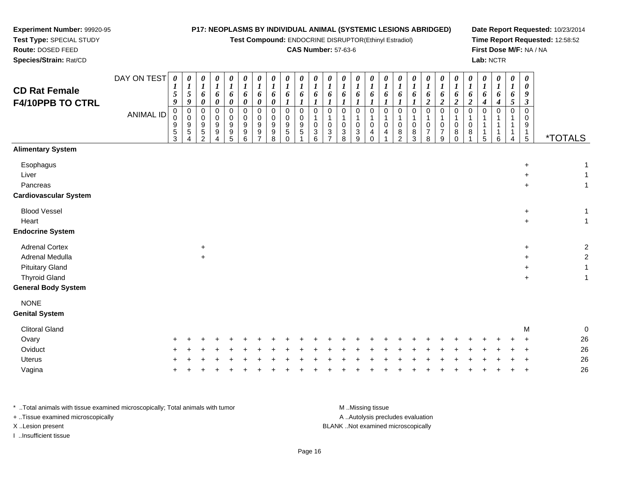**Test Compound:** ENDOCRINE DISRUPTOR(Ethinyl Estradiol)

#### **CAS Number:** 57-63-6

**Date Report Requested:** 10/23/2014**Time Report Requested:** 12:58:52**First Dose M/F:** NA / NA**Lab:** NCTR

| <b>CD Rat Female</b><br>F4/10PPB TO CTRL                                                                          | DAY ON TEST<br><b>ANIMAL ID</b> | $\boldsymbol{\theta}$<br>$\boldsymbol{l}$<br>5<br>9<br>0<br>$\mathbf 0$<br>9<br>$\mathbf 5$<br>3 | $\boldsymbol{\theta}$<br>$\boldsymbol{l}$<br>$\mathfrak{s}$<br>9<br>$\pmb{0}$<br>$\mathbf 0$<br>9<br>5<br>4 | 0<br>$\boldsymbol{l}$<br>6<br>0<br>$\mathbf 0$<br>$\mathbf 0$<br>9<br>5<br>2 | $\pmb{\theta}$<br>$\boldsymbol{l}$<br>6<br>0<br>$\mathbf 0$<br>0<br>9<br>9<br>$\overline{4}$ | $\pmb{\theta}$<br>6<br>0<br>$\mathbf 0$<br>0<br>9<br>9<br>5 | $\pmb{\theta}$<br>$\boldsymbol{l}$<br>6<br>0<br>$\mathbf 0$<br>0<br>9<br>9<br>6 | $\pmb{\theta}$<br>1<br>6<br>0<br>0<br>0<br>$\boldsymbol{9}$<br>9 | 0<br>1<br>6<br>$\boldsymbol{\theta}$<br>$\pmb{0}$<br>$\mathbf 0$<br>9<br>9<br>8 | 0<br>1<br>6<br>$\mathbf 0$<br>0<br>9<br>$\,$ 5 $\,$<br>$\Omega$ | 0<br>$\boldsymbol{l}$<br>6<br>$\mathbf 0$<br>0<br>$\boldsymbol{9}$<br>5 | $\pmb{\theta}$<br>$\boldsymbol{l}$<br>6<br>$\mathbf 0$<br>$\mathbf 1$<br>$\mathbf 0$<br>$\ensuremath{\mathsf{3}}$<br>6 | 0<br>1<br>6<br>$\mathbf 0$<br>$\mathbf 0$<br>3<br>$\overline{7}$ | $\pmb{\theta}$<br>$\boldsymbol{l}$<br>6<br>$\pmb{0}$<br>$\pmb{0}$<br>$\ensuremath{\mathsf{3}}$<br>8 | $\boldsymbol{\theta}$<br>$\boldsymbol{l}$<br>6<br>1<br>$\pmb{0}$<br>$\mathbf{1}$<br>$\pmb{0}$<br>$\sqrt{3}$<br>9 | 0<br>$\boldsymbol{l}$<br>6<br>$\mathbf 0$<br>0<br>4<br>$\Omega$ | $\pmb{\theta}$<br>$\boldsymbol{l}$<br>6<br>$\mathbf 0$<br>0<br>4 | $\boldsymbol{\theta}$<br>$\boldsymbol{l}$<br>6<br>$\mathbf 0$<br>$\mathbf 0$<br>8<br>$\overline{2}$ | $\pmb{\theta}$<br>6<br>$\mathbf 0$<br>0<br>8<br>3 | 0<br>$\boldsymbol{l}$<br>6<br>$\overline{c}$<br>$\mathbf 0$<br>$\mathbf 0$<br>$\boldsymbol{7}$<br>8 | $\pmb{\theta}$<br>$\boldsymbol{l}$<br>6<br>$\boldsymbol{2}$<br>$\pmb{0}$<br>$\mathbf 1$<br>$\pmb{0}$<br>$\overline{7}$<br>9 | 0<br>1<br>6<br>$\overline{c}$<br>$\mathbf 0$<br>0<br>8<br>$\Omega$ | $\pmb{\theta}$<br>$\boldsymbol{l}$<br>6<br>$\boldsymbol{2}$<br>0<br>$\mathbf 0$<br>8 | $\boldsymbol{\theta}$<br>$\boldsymbol{l}$<br>6<br>4<br>$\mathbf 0$<br>1<br>1<br>5 | $\boldsymbol{\theta}$<br>$\boldsymbol{l}$<br>6<br>4<br>0<br>6 | $\pmb{\theta}$<br>$\boldsymbol{l}$<br>6<br>$\sqrt{5}$<br>$\mathbf 0$<br>1<br>4 | 0<br>0<br>9<br>$\boldsymbol{\beta}$<br>$\pmb{0}$<br>0<br>9<br>$\mathbf{1}$<br>$5\phantom{.0}$ | <i><b>*TOTALS</b></i>     |  |
|-------------------------------------------------------------------------------------------------------------------|---------------------------------|--------------------------------------------------------------------------------------------------|-------------------------------------------------------------------------------------------------------------|------------------------------------------------------------------------------|----------------------------------------------------------------------------------------------|-------------------------------------------------------------|---------------------------------------------------------------------------------|------------------------------------------------------------------|---------------------------------------------------------------------------------|-----------------------------------------------------------------|-------------------------------------------------------------------------|------------------------------------------------------------------------------------------------------------------------|------------------------------------------------------------------|-----------------------------------------------------------------------------------------------------|------------------------------------------------------------------------------------------------------------------|-----------------------------------------------------------------|------------------------------------------------------------------|-----------------------------------------------------------------------------------------------------|---------------------------------------------------|-----------------------------------------------------------------------------------------------------|-----------------------------------------------------------------------------------------------------------------------------|--------------------------------------------------------------------|--------------------------------------------------------------------------------------|-----------------------------------------------------------------------------------|---------------------------------------------------------------|--------------------------------------------------------------------------------|-----------------------------------------------------------------------------------------------|---------------------------|--|
| <b>Alimentary System</b>                                                                                          |                                 |                                                                                                  |                                                                                                             |                                                                              |                                                                                              |                                                             |                                                                                 |                                                                  |                                                                                 |                                                                 |                                                                         |                                                                                                                        |                                                                  |                                                                                                     |                                                                                                                  |                                                                 |                                                                  |                                                                                                     |                                                   |                                                                                                     |                                                                                                                             |                                                                    |                                                                                      |                                                                                   |                                                               |                                                                                |                                                                                               |                           |  |
| Esophagus<br>Liver<br>Pancreas<br><b>Cardiovascular System</b>                                                    |                                 |                                                                                                  |                                                                                                             |                                                                              |                                                                                              |                                                             |                                                                                 |                                                                  |                                                                                 |                                                                 |                                                                         |                                                                                                                        |                                                                  |                                                                                                     |                                                                                                                  |                                                                 |                                                                  |                                                                                                     |                                                   |                                                                                                     |                                                                                                                             |                                                                    |                                                                                      |                                                                                   |                                                               |                                                                                | $\ddot{}$<br>+<br>$\ddot{}$                                                                   |                           |  |
| <b>Blood Vessel</b><br>Heart<br><b>Endocrine System</b>                                                           |                                 |                                                                                                  |                                                                                                             |                                                                              |                                                                                              |                                                             |                                                                                 |                                                                  |                                                                                 |                                                                 |                                                                         |                                                                                                                        |                                                                  |                                                                                                     |                                                                                                                  |                                                                 |                                                                  |                                                                                                     |                                                   |                                                                                                     |                                                                                                                             |                                                                    |                                                                                      |                                                                                   |                                                               |                                                                                | $\ddot{}$<br>$\ddot{}$                                                                        |                           |  |
| <b>Adrenal Cortex</b><br>Adrenal Medulla<br><b>Pituitary Gland</b><br><b>Thyroid Gland</b><br>General Body System |                                 |                                                                                                  |                                                                                                             | $\ddot{}$<br>$\ddot{}$                                                       |                                                                                              |                                                             |                                                                                 |                                                                  |                                                                                 |                                                                 |                                                                         |                                                                                                                        |                                                                  |                                                                                                     |                                                                                                                  |                                                                 |                                                                  |                                                                                                     |                                                   |                                                                                                     |                                                                                                                             |                                                                    |                                                                                      |                                                                                   |                                                               |                                                                                | $\ddot{}$<br>$\ddot{}$<br>$\ddot{}$<br>$\ddot{}$                                              |                           |  |
| <b>NONE</b><br><b>Genital System</b>                                                                              |                                 |                                                                                                  |                                                                                                             |                                                                              |                                                                                              |                                                             |                                                                                 |                                                                  |                                                                                 |                                                                 |                                                                         |                                                                                                                        |                                                                  |                                                                                                     |                                                                                                                  |                                                                 |                                                                  |                                                                                                     |                                                   |                                                                                                     |                                                                                                                             |                                                                    |                                                                                      |                                                                                   |                                                               |                                                                                |                                                                                               |                           |  |
| <b>Clitoral Gland</b><br>Ovary<br>Oviduct<br><b>Uterus</b><br>Vagina                                              |                                 |                                                                                                  |                                                                                                             |                                                                              |                                                                                              |                                                             |                                                                                 |                                                                  |                                                                                 |                                                                 |                                                                         |                                                                                                                        |                                                                  |                                                                                                     |                                                                                                                  |                                                                 |                                                                  |                                                                                                     |                                                   |                                                                                                     |                                                                                                                             |                                                                    |                                                                                      |                                                                                   |                                                               |                                                                                | M                                                                                             | O<br>26<br>26<br>26<br>26 |  |
|                                                                                                                   |                                 |                                                                                                  |                                                                                                             |                                                                              |                                                                                              |                                                             |                                                                                 |                                                                  |                                                                                 |                                                                 |                                                                         |                                                                                                                        |                                                                  |                                                                                                     |                                                                                                                  |                                                                 |                                                                  |                                                                                                     |                                                   |                                                                                                     |                                                                                                                             |                                                                    |                                                                                      |                                                                                   |                                                               |                                                                                |                                                                                               |                           |  |

\* ..Total animals with tissue examined microscopically; Total animals with tumor **M** . Missing tissue M ..Missing tissue A ..Autolysis precludes evaluation + ..Tissue examined microscopically X ..Lesion present BLANK ..Not examined microscopicallyI ..Insufficient tissue

**Experiment Number:** 99920-95**Test Type:** SPECIAL STUDY**Route:** DOSED FEED**Species/Strain:** Rat/CD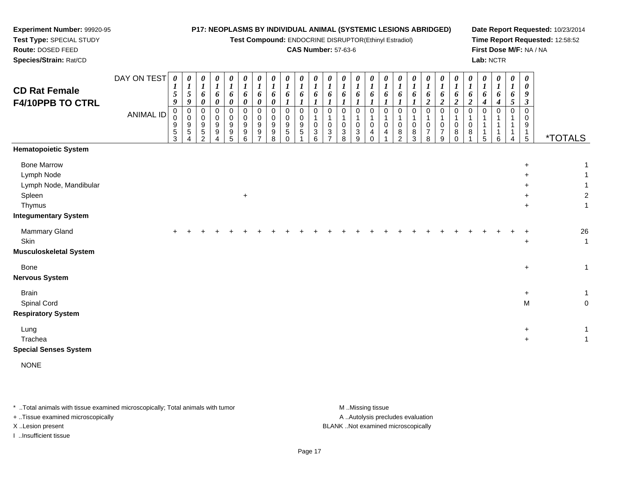**Test Compound:** ENDOCRINE DISRUPTOR(Ethinyl Estradiol)

#### **CAS Number:** 57-63-6

**Date Report Requested:** 10/23/2014**Time Report Requested:** 12:58:52**First Dose M/F:** NA / NA**Lab:** NCTR

| <b>CD Rat Female</b><br>F4/10PPB TO CTRL<br><b>Hematopoietic System</b>                                       | DAY ON TEST<br><b>ANIMAL ID</b> | $\boldsymbol{\theta}$<br>$\boldsymbol{l}$<br>$\mathfrak{I}$<br>$\boldsymbol{9}$<br>$_0^0$<br>9<br>$\,$ 5 $\,$<br>$\overline{3}$ | 0<br>$\boldsymbol{l}$<br>5<br>9<br>$\begin{smallmatrix} 0\\0 \end{smallmatrix}$<br>9<br>5<br>4 | $\pmb{\theta}$<br>$\boldsymbol{l}$<br>6<br>$\pmb{\theta}$<br>$\pmb{0}$<br>$\pmb{0}$<br>$\boldsymbol{9}$<br>$\sqrt{5}$<br>2 | 0<br>$\boldsymbol{l}$<br>6<br>$\pmb{\theta}$<br>$\mathbf 0$<br>$\mathbf 0$<br>$\boldsymbol{9}$<br>9<br>4 | $\boldsymbol{\theta}$<br>$\boldsymbol{l}$<br>6<br>$\pmb{\theta}$<br>$\mathbf 0$<br>$\mathbf 0$<br>$\boldsymbol{9}$<br>$9\,$<br>5 | 0<br>$\boldsymbol{l}$<br>6<br>0<br>$\Omega$<br>$\mathbf 0$<br>$\boldsymbol{9}$<br>9<br>6 | 0<br>$\boldsymbol{l}$<br>6<br>$\pmb{\theta}$<br>0<br>0<br>$\boldsymbol{9}$<br>9<br>$\overline{7}$ | 0<br>$\boldsymbol{l}$<br>6<br>$\boldsymbol{\theta}$<br>$\Omega$<br>$\mathbf 0$<br>$9\,$<br>9<br>8 | 0<br>$\boldsymbol{l}$<br>6<br>$\boldsymbol{l}$<br>$\mathbf 0$<br>$\mathbf 0$<br>$\boldsymbol{9}$<br>5<br>$\Omega$ | 0<br>$\boldsymbol{l}$<br>6<br>$\boldsymbol{l}$<br>0<br>0<br>9<br>5 | 0<br>$\boldsymbol{l}$<br>6<br>$\boldsymbol{l}$<br>$\mathsf 0$<br>$\mathsf{O}\xspace$<br>$\mathbf{3}$<br>6 | $\boldsymbol{\theta}$<br>$\boldsymbol{l}$<br>6<br>$\boldsymbol{l}$<br>$\pmb{0}$<br>$\mathbf{1}$<br>$\pmb{0}$<br>$\mathbf{3}$<br>$\overline{7}$ | 0<br>$\boldsymbol{l}$<br>6<br>$\boldsymbol{l}$<br>$\mathbf 0$<br>$\mathbf{1}$<br>$\pmb{0}$<br>3<br>8 | 0<br>$\boldsymbol{l}$<br>6<br>$\boldsymbol{l}$<br>$\mathbf 0$<br>$\mathbf{1}$<br>$\pmb{0}$<br>$\sqrt{3}$<br>9 | $\boldsymbol{\theta}$<br>$\boldsymbol{l}$<br>6<br>1<br>$\Omega$<br>$\mathbf 0$<br>$\overline{4}$<br>$\Omega$ | $\boldsymbol{\theta}$<br>$\boldsymbol{l}$<br>6<br>$\boldsymbol{l}$<br>$\mathbf 0$<br>$\mathbf{1}$<br>$\mathbf 0$<br>4 | 0<br>$\boldsymbol{l}$<br>6<br>$\Omega$<br>$\mathbf 0$<br>8<br>$\mathfrak{p}$ | 0<br>$\boldsymbol{l}$<br>6<br>$\Omega$<br>$\mathbf 0$<br>8<br>$\sqrt{3}$ | 0<br>$\boldsymbol{l}$<br>6<br>$\overline{2}$<br>$\Omega$<br>$\overline{1}$<br>$\mathbf 0$<br>$\overline{7}$<br>8 | 0<br>$\boldsymbol{l}$<br>6<br>$\overline{c}$<br>$\mathbf 0$<br>1<br>$\pmb{0}$<br>$\overline{7}$<br>9 | 0<br>$\boldsymbol{l}$<br>6<br>$\boldsymbol{2}$<br>0<br>$\mathbf{1}$<br>0<br>8<br>$\Omega$ | 0<br>$\boldsymbol{l}$<br>6<br>$\boldsymbol{2}$<br>$\mathbf 0$<br>0<br>8 | 0<br>$\boldsymbol{l}$<br>6<br>4<br>0<br>$\mathbf{1}$<br>1<br>1<br>5 | 0<br>$\boldsymbol{l}$<br>6<br>4<br>0<br>1<br>$\mathbf{1}$<br>$\mathbf 1$<br>6 | 0<br>$\boldsymbol{l}$<br>6<br>$\mathfrak{s}$<br>$\mathbf 0$<br>$\mathbf 1$<br>-1<br>4 | $\boldsymbol{\theta}$<br>$\boldsymbol{\theta}$<br>9<br>$\boldsymbol{\beta}$<br>$\Omega$<br>$\Omega$<br>9<br>$\overline{1}$<br>$\sqrt{5}$ | <i><b>*TOTALS</b></i>            |
|---------------------------------------------------------------------------------------------------------------|---------------------------------|---------------------------------------------------------------------------------------------------------------------------------|------------------------------------------------------------------------------------------------|----------------------------------------------------------------------------------------------------------------------------|----------------------------------------------------------------------------------------------------------|----------------------------------------------------------------------------------------------------------------------------------|------------------------------------------------------------------------------------------|---------------------------------------------------------------------------------------------------|---------------------------------------------------------------------------------------------------|-------------------------------------------------------------------------------------------------------------------|--------------------------------------------------------------------|-----------------------------------------------------------------------------------------------------------|------------------------------------------------------------------------------------------------------------------------------------------------|------------------------------------------------------------------------------------------------------|---------------------------------------------------------------------------------------------------------------|--------------------------------------------------------------------------------------------------------------|-----------------------------------------------------------------------------------------------------------------------|------------------------------------------------------------------------------|--------------------------------------------------------------------------|------------------------------------------------------------------------------------------------------------------|------------------------------------------------------------------------------------------------------|-------------------------------------------------------------------------------------------|-------------------------------------------------------------------------|---------------------------------------------------------------------|-------------------------------------------------------------------------------|---------------------------------------------------------------------------------------|------------------------------------------------------------------------------------------------------------------------------------------|----------------------------------|
| <b>Bone Marrow</b><br>Lymph Node<br>Lymph Node, Mandibular<br>Spleen<br>Thymus<br><b>Integumentary System</b> |                                 |                                                                                                                                 |                                                                                                |                                                                                                                            |                                                                                                          |                                                                                                                                  | $\ddot{}$                                                                                |                                                                                                   |                                                                                                   |                                                                                                                   |                                                                    |                                                                                                           |                                                                                                                                                |                                                                                                      |                                                                                                               |                                                                                                              |                                                                                                                       |                                                                              |                                                                          |                                                                                                                  |                                                                                                      |                                                                                           |                                                                         |                                                                     |                                                                               |                                                                                       | $\ddot{}$<br>$+$<br>$\ddot{}$                                                                                                            | $\boldsymbol{2}$<br>$\mathbf{1}$ |
| Mammary Gland<br>Skin<br><b>Musculoskeletal System</b>                                                        |                                 | $\pm$                                                                                                                           |                                                                                                |                                                                                                                            |                                                                                                          |                                                                                                                                  |                                                                                          |                                                                                                   |                                                                                                   |                                                                                                                   |                                                                    |                                                                                                           |                                                                                                                                                |                                                                                                      |                                                                                                               |                                                                                                              |                                                                                                                       |                                                                              |                                                                          |                                                                                                                  |                                                                                                      |                                                                                           |                                                                         |                                                                     |                                                                               |                                                                                       | $\ddot{}$                                                                                                                                | 26<br>$\mathbf{1}$               |
| Bone<br><b>Nervous System</b>                                                                                 |                                 |                                                                                                                                 |                                                                                                |                                                                                                                            |                                                                                                          |                                                                                                                                  |                                                                                          |                                                                                                   |                                                                                                   |                                                                                                                   |                                                                    |                                                                                                           |                                                                                                                                                |                                                                                                      |                                                                                                               |                                                                                                              |                                                                                                                       |                                                                              |                                                                          |                                                                                                                  |                                                                                                      |                                                                                           |                                                                         |                                                                     |                                                                               |                                                                                       | $\ddot{}$                                                                                                                                | $\mathbf{1}$                     |
| <b>Brain</b><br>Spinal Cord<br><b>Respiratory System</b>                                                      |                                 |                                                                                                                                 |                                                                                                |                                                                                                                            |                                                                                                          |                                                                                                                                  |                                                                                          |                                                                                                   |                                                                                                   |                                                                                                                   |                                                                    |                                                                                                           |                                                                                                                                                |                                                                                                      |                                                                                                               |                                                                                                              |                                                                                                                       |                                                                              |                                                                          |                                                                                                                  |                                                                                                      |                                                                                           |                                                                         |                                                                     |                                                                               |                                                                                       | $\ddot{}$<br>M                                                                                                                           | $\mathbf{1}$<br>$\mathbf 0$      |
| Lung<br>Trachea<br><b>Special Senses System</b>                                                               |                                 |                                                                                                                                 |                                                                                                |                                                                                                                            |                                                                                                          |                                                                                                                                  |                                                                                          |                                                                                                   |                                                                                                   |                                                                                                                   |                                                                    |                                                                                                           |                                                                                                                                                |                                                                                                      |                                                                                                               |                                                                                                              |                                                                                                                       |                                                                              |                                                                          |                                                                                                                  |                                                                                                      |                                                                                           |                                                                         |                                                                     |                                                                               |                                                                                       | $+$<br>$\ddot{}$                                                                                                                         | 1<br>$\mathbf 1$                 |

NONE

**Experiment Number:** 99920-95**Test Type:** SPECIAL STUDY**Route:** DOSED FEED**Species/Strain:** Rat/CD

\* ..Total animals with tissue examined microscopically; Total animals with tumor **M** . Missing tissue M ..Missing tissue A ..Autolysis precludes evaluation + ..Tissue examined microscopically X ..Lesion present BLANK ..Not examined microscopicallyI ..Insufficient tissue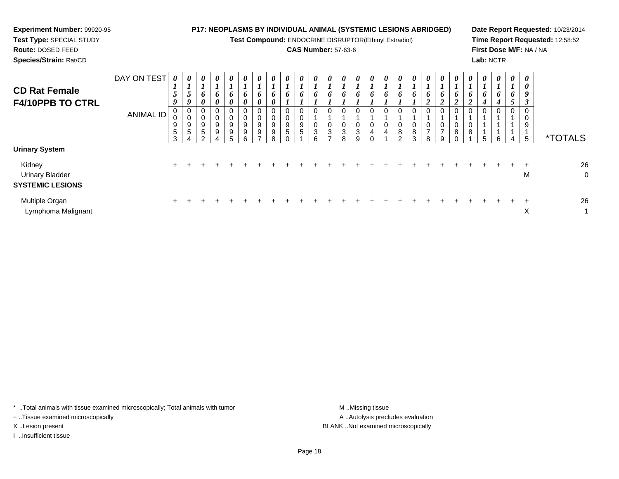| <b>Experiment Number: 99920-95</b><br>Test Type: SPECIAL STUDY<br><b>Route: DOSED FEED</b><br>Species/Strain: Rat/CD |                                 |                         |                  |             |                                            |                                   |                            |                         |                            |                            | <b>CAS Number: 57-63-6</b> |                            |                              |                    | <b>P17: NEOPLASMS BY INDIVIDUAL ANIMAL (SYSTEMIC LESIONS ABRIDGED)</b><br>Test Compound: ENDOCRINE DISRUPTOR(Ethinyl Estradiol) |        |                    |               |   |        | Lab: NCTR    |                         |             | First Dose M/F: NA / NA | Date Report Requested: 10/23/2014<br>Time Report Requested: 12:58:52 |
|----------------------------------------------------------------------------------------------------------------------|---------------------------------|-------------------------|------------------|-------------|--------------------------------------------|-----------------------------------|----------------------------|-------------------------|----------------------------|----------------------------|----------------------------|----------------------------|------------------------------|--------------------|---------------------------------------------------------------------------------------------------------------------------------|--------|--------------------|---------------|---|--------|--------------|-------------------------|-------------|-------------------------|----------------------------------------------------------------------|
| <b>CD Rat Female</b><br><b>F4/10PPB TO CTRL</b>                                                                      | DAY ON TEST<br><b>ANIMAL ID</b> | $\theta$<br>9<br>5<br>3 | 0<br>0<br>0<br>9 | 0<br>9<br>5 | $\boldsymbol{\theta}$<br>O.<br>0<br>9<br>9 | $\theta$<br>6<br>0<br>0<br>9<br>5 | $\boldsymbol{\theta}$<br>9 | $\theta$<br>6<br>9<br>8 | $\boldsymbol{\theta}$<br>9 | $\boldsymbol{\theta}$<br>9 |                            | $\boldsymbol{\theta}$<br>6 | $\theta$<br>6<br>0<br>3<br>8 | $\theta$<br>6<br>9 | 0<br>0<br>0                                                                                                                     | $\sim$ | $\theta$<br>8<br>3 | $\theta$<br>8 | 9 | 0<br>8 | U.<br>6<br>5 | $\theta$<br>6<br>0<br>6 | 6<br>0<br>4 | 0<br>9<br>5             | <i><b>*TOTALS</b></i>                                                |
| <b>Urinary System</b><br>Kidney<br><b>Urinary Bladder</b><br><b>SYSTEMIC LESIONS</b>                                 |                                 |                         |                  |             |                                            |                                   |                            |                         |                            |                            |                            |                            |                              |                    |                                                                                                                                 |        |                    |               |   |        |              |                         |             | M                       | 26<br>0                                                              |

| Multiple Organ     |  |  |  |  |  |  |  |  |  |  |  |  |  | 26 |
|--------------------|--|--|--|--|--|--|--|--|--|--|--|--|--|----|
| Lymphoma Malignant |  |  |  |  |  |  |  |  |  |  |  |  |  |    |

\* ..Total animals with tissue examined microscopically; Total animals with tumor M..Missing tissue M ..Missing tissue

+ ..Tissue examined microscopically

I ..Insufficient tissue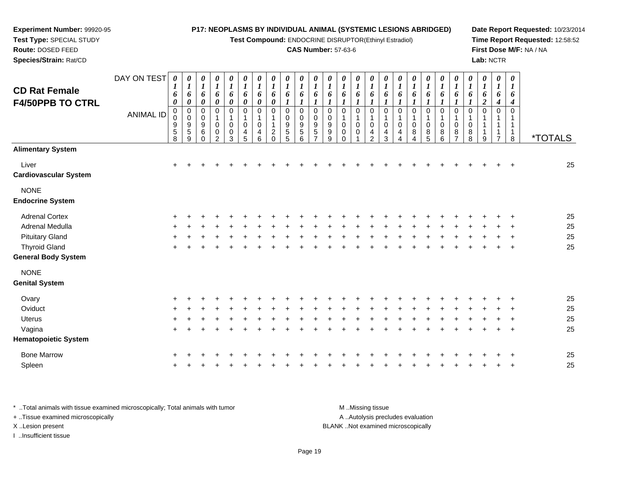#### **Experiment Number:** 99920-95**Test Type:** SPECIAL STUDY**Route:** DOSED FEED **Species/Strain:** Rat/CD**P17: NEOPLASMS BY INDIVIDUAL ANIMAL (SYSTEMIC LESIONS ABRIDGED)Test Compound:** ENDOCRINE DISRUPTOR(Ethinyl Estradiol)**CAS Number:** 57-63-6**Date Report Requested:** 10/23/2014**Time Report Requested:** 12:58:52**First Dose M/F:** NA / NA**Lab:** NCTRDAY ON TEST**CD Rat Female F4/50PPB TO CTRL**ANIMAL ID*0 1 6 0* 0 0 9 5 8*0 1 6 0* 0 0 9 5 9*0 1 6 0* 0 0 9 6 0*0 1 6 0* 0 1 0 0 2*0 1 6 0* 0 1 0 0 3*0 1 6 0* 0 1 0 4 5*0 1 6 0* 0 1 0 4 6*0 1 6 0* 0 1 1 2 0*0 1 6 1* 0 0 9 5 5*0 1 6 1* 0 0 9 5 6*0 1 6 1* 0 0 9 5 7*0 1 6 1* 0 0 9 9 9*0 1 6 1* 0 1 0 0 0*0 1 6 1* 0 1 0 0 1*0 1 6 1* 0 1 0 4 2*0 1 6 1* 0 1 0 4 3*0 1 6 1* 0 1 0 4 4*0 1 6 1* 0 1 0 8 4*0 1 6 1* 0 1 0 8 5*0 1 6 1* 0 1 0 8 6*0 1 6 1* 0 1 0 8 7*0 1 6 1* 0 1 0 8 8*0 1 6 2* 0 1 1 1 9*0 1 6 4* 0 1 1 1 7*0 1 6 4* 0 1 1 1 $\dot{8}$ 8 \*TOTALS**Alimentary System**Liver $\mathsf{r}$  + <sup>+</sup> <sup>+</sup> <sup>+</sup> <sup>+</sup> <sup>+</sup> <sup>+</sup> <sup>+</sup> <sup>+</sup> <sup>+</sup> <sup>+</sup> <sup>+</sup> <sup>+</sup> <sup>+</sup> <sup>+</sup> <sup>+</sup> <sup>+</sup> <sup>+</sup> <sup>+</sup> <sup>+</sup> <sup>+</sup> <sup>+</sup> <sup>+</sup> <sup>+</sup> <sup>+</sup> <sup>25</sup> **Cardiovascular System**NONE **Endocrine System**Adrenal Cortex $\times$  + <sup>+</sup> <sup>+</sup> <sup>+</sup> <sup>+</sup> <sup>+</sup> <sup>+</sup> <sup>+</sup> <sup>+</sup> <sup>+</sup> <sup>+</sup> <sup>+</sup> <sup>+</sup> <sup>+</sup> <sup>+</sup> <sup>+</sup> <sup>+</sup> <sup>+</sup> <sup>+</sup> <sup>+</sup> <sup>+</sup> <sup>+</sup> <sup>+</sup> <sup>+</sup> <sup>+</sup> <sup>25</sup> Adrenal Medullaa  $+$  <sup>+</sup> <sup>+</sup> <sup>+</sup> <sup>+</sup> <sup>+</sup> <sup>+</sup> <sup>+</sup> <sup>+</sup> <sup>+</sup> <sup>+</sup> <sup>+</sup> <sup>+</sup> <sup>+</sup> <sup>+</sup> <sup>+</sup> <sup>+</sup> <sup>+</sup> <sup>+</sup> <sup>+</sup> <sup>+</sup> <sup>+</sup> <sup>+</sup> <sup>+</sup> <sup>+</sup> <sup>25</sup> Pituitary Gland $\alpha$  + <sup>+</sup> <sup>+</sup> <sup>+</sup> <sup>+</sup> <sup>+</sup> <sup>+</sup> <sup>+</sup> <sup>+</sup> <sup>+</sup> <sup>+</sup> <sup>+</sup> <sup>+</sup> <sup>+</sup> <sup>+</sup> <sup>+</sup> <sup>+</sup> <sup>+</sup> <sup>+</sup> <sup>+</sup> <sup>+</sup> <sup>+</sup> <sup>+</sup> <sup>+</sup> <sup>+</sup> <sup>25</sup> Thyroid Glandd  $+$  <sup>+</sup> <sup>+</sup> <sup>+</sup> <sup>+</sup> <sup>+</sup> <sup>+</sup> <sup>+</sup> <sup>+</sup> <sup>+</sup> <sup>+</sup> <sup>+</sup> <sup>+</sup> <sup>+</sup> <sup>+</sup> <sup>+</sup> <sup>+</sup> <sup>+</sup> <sup>+</sup> <sup>+</sup> <sup>+</sup> <sup>+</sup> <sup>+</sup> <sup>+</sup> <sup>+</sup> <sup>25</sup> **General Body System**NONE **Genital SystemOvary**  <sup>+</sup> <sup>+</sup> <sup>+</sup> <sup>+</sup> <sup>+</sup> <sup>+</sup> <sup>+</sup> <sup>+</sup> <sup>+</sup> <sup>+</sup> <sup>+</sup> <sup>+</sup> <sup>+</sup> <sup>+</sup> <sup>+</sup> <sup>+</sup> <sup>+</sup> <sup>+</sup> <sup>+</sup> <sup>+</sup> <sup>+</sup> <sup>+</sup> <sup>+</sup> <sup>+</sup> <sup>+</sup> <sup>25</sup> **Oviduct**  $\mathfrak{t}$  + <sup>+</sup> <sup>+</sup> <sup>+</sup> <sup>+</sup> <sup>+</sup> <sup>+</sup> <sup>+</sup> <sup>+</sup> <sup>+</sup> <sup>+</sup> <sup>+</sup> <sup>+</sup> <sup>+</sup> <sup>+</sup> <sup>+</sup> <sup>+</sup> <sup>+</sup> <sup>+</sup> <sup>+</sup> <sup>+</sup> <sup>+</sup> <sup>+</sup> <sup>+</sup> <sup>+</sup> <sup>25</sup> **Uterus**  <sup>+</sup><sup>+</sup> <sup>+</sup> <sup>+</sup> <sup>+</sup> <sup>+</sup> <sup>+</sup> <sup>+</sup> <sup>+</sup> <sup>+</sup> <sup>+</sup> <sup>+</sup> <sup>+</sup> <sup>+</sup> <sup>+</sup> <sup>+</sup> <sup>+</sup> <sup>+</sup> <sup>+</sup> <sup>+</sup> <sup>+</sup> <sup>+</sup> <sup>+</sup> <sup>+</sup> <sup>+</sup> <sup>25</sup>

Vaginaa  $+$  <sup>+</sup> <sup>+</sup> <sup>+</sup> <sup>+</sup> <sup>+</sup> <sup>+</sup> <sup>+</sup> <sup>+</sup> <sup>+</sup> <sup>+</sup> <sup>+</sup> <sup>+</sup> <sup>+</sup> <sup>+</sup> <sup>+</sup> <sup>+</sup> <sup>+</sup> <sup>+</sup> <sup>+</sup> <sup>+</sup> <sup>+</sup> <sup>+</sup> <sup>+</sup> <sup>+</sup> <sup>25</sup> **Hematopoietic System**Bone Marrow <sup>+</sup> <sup>+</sup> <sup>+</sup> <sup>+</sup> <sup>+</sup> <sup>+</sup> <sup>+</sup> <sup>+</sup> <sup>+</sup> <sup>+</sup> <sup>+</sup> <sup>+</sup> <sup>+</sup> <sup>+</sup> <sup>+</sup> <sup>+</sup> <sup>+</sup> <sup>+</sup> <sup>+</sup> <sup>+</sup> <sup>+</sup> <sup>+</sup> <sup>+</sup> <sup>+</sup> <sup>+</sup> <sup>25</sup> Spleenn  $+$ <sup>+</sup> <sup>+</sup> <sup>+</sup> <sup>+</sup> <sup>+</sup> <sup>+</sup> <sup>+</sup> <sup>+</sup> <sup>+</sup> <sup>+</sup> <sup>+</sup> <sup>+</sup> <sup>+</sup> <sup>+</sup> <sup>+</sup> <sup>+</sup> <sup>+</sup> <sup>+</sup> <sup>+</sup> <sup>+</sup> <sup>+</sup> <sup>+</sup> <sup>+</sup> <sup>+</sup> <sup>25</sup>

\* ..Total animals with tissue examined microscopically; Total animals with tumor M ...Missing tissue M ...Missing tissue A ..Autolysis precludes evaluation + ..Tissue examined microscopically X ..Lesion present BLANK ..Not examined microscopicallyI ..Insufficient tissue